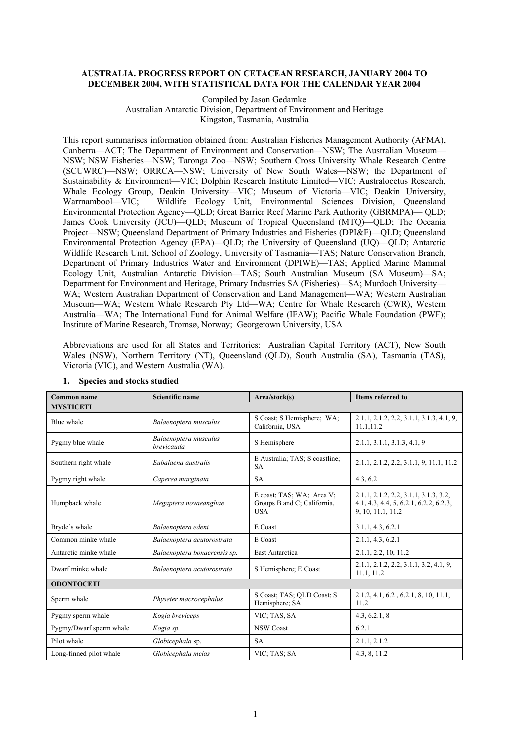### **AUSTRALIA. PROGRESS REPORT ON CETACEAN RESEARCH, JANUARY 2004 TO DECEMBER 2004, WITH STATISTICAL DATA FOR THE CALENDAR YEAR 2004**

#### Compiled by Jason Gedamke Australian Antarctic Division, Department of Environment and Heritage Kingston, Tasmania, Australia

This report summarises information obtained from: Australian Fisheries Management Authority (AFMA), Canberra—ACT; The Department of Environment and Conservation—NSW; The Australian Museum— NSW; NSW Fisheries—NSW; Taronga Zoo—NSW; Southern Cross University Whale Research Centre (SCUWRC)—NSW; ORRCA—NSW; University of New South Wales—NSW; the Department of Sustainability & Environment—VIC; Dolphin Research Institute Limited—VIC; Australocetus Research, Whale Ecology Group, Deakin University—VIC; Museum of Victoria—VIC; Deakin University, Warrnambool—VIC; Wildlife Ecology Unit, Environmental Sciences Division, Oueensland Environmental Protection Agency—QLD; Great Barrier Reef Marine Park Authority (GBRMPA)— QLD; James Cook University (JCU)—QLD; Museum of Tropical Queensland (MTQ)—QLD; The Oceania Project—NSW; Queensland Department of Primary Industries and Fisheries (DPI&F)—QLD; Queensland Environmental Protection Agency (EPA)—QLD; the University of Queensland (UQ)—QLD; Antarctic Wildlife Research Unit, School of Zoology, University of Tasmania—TAS; Nature Conservation Branch, Department of Primary Industries Water and Environment (DPIWE)—TAS; Applied Marine Mammal Ecology Unit, Australian Antarctic Division—TAS; South Australian Museum (SA Museum)—SA; Department for Environment and Heritage, Primary Industries SA (Fisheries)—SA; Murdoch University— WA; Western Australian Department of Conservation and Land Management—WA; Western Australian Museum—WA; Western Whale Research Pty Ltd—WA; Centre for Whale Research (CWR), Western Australia—WA; The International Fund for Animal Welfare (IFAW); Pacific Whale Foundation (PWF); Institute of Marine Research, Tromsø, Norway; Georgetown University, USA

Abbreviations are used for all States and Territories: Australian Capital Territory (ACT), New South Wales (NSW), Northern Territory (NT), Queensland (QLD), South Australia (SA), Tasmania (TAS), Victoria (VIC), and Western Australia (WA).

| Common name                              | Scientific name                     |                                                                        | <b>Items referred to</b>                                                                               |
|------------------------------------------|-------------------------------------|------------------------------------------------------------------------|--------------------------------------------------------------------------------------------------------|
| <b>MYSTICETI</b>                         |                                     |                                                                        |                                                                                                        |
| Blue whale                               | Balaenoptera musculus               | S Coast; S Hemisphere; WA;<br>California, USA                          | 2.1.1, 2.1.2, 2.2, 3.1.1, 3.1.3, 4.1, 9,<br>11.1,11.2                                                  |
| Pygmy blue whale                         | Balaenoptera musculus<br>brevicauda | S Hemisphere                                                           | 2.1.1, 3.1.1, 3.1.3, 4.1, 9                                                                            |
| Southern right whale                     | Eubalaena australis                 | E Australia; TAS; S coastline;<br><b>SA</b>                            | 2.1.1, 2.1.2, 2.2, 3.1.1, 9, 11.1, 11.2                                                                |
| Pygmy right whale                        | Caperea marginata                   | <b>SA</b>                                                              | 4.3, 6.2                                                                                               |
| Humpback whale<br>Megaptera novaeangliae |                                     | E coast; TAS; WA; Area V;<br>Groups B and C; California,<br><b>USA</b> | 2.1.1, 2.1.2, 2.2, 3.1.1, 3.1.3, 3.2,<br>$4.1, 4.3, 4.4, 5, 6.2.1, 6.2.2, 6.2.3,$<br>9, 10, 11.1, 11.2 |
| Bryde's whale                            | Balaenoptera edeni                  | E Coast                                                                | 3.1.1, 4.3, 6.2.1                                                                                      |
| Common minke whale                       | Balaenoptera acutorostrata          | E Coast                                                                | 2.1.1, 4.3, 6.2.1                                                                                      |
| Antarctic minke whale                    | Balaenoptera bonaerensis sp.        | East Antarctica                                                        | 2.1.1, 2.2, 10, 11.2                                                                                   |
| Dwarf minke whale                        | Balaenoptera acutorostrata          | S Hemisphere; E Coast                                                  | 2.1.1, 2.1.2, 2.2, 3.1.1, 3.2, 4.1, 9<br>11.1, 11.2                                                    |
| <b>ODONTOCETI</b>                        |                                     |                                                                        |                                                                                                        |
| Sperm whale                              | Physeter macrocephalus              | S Coast; TAS; QLD Coast; S<br>Hemisphere; SA                           | 2.1.2, 4.1, 6.2, 6.2.1, 8, 10, 11.1,<br>11.2                                                           |
| Pygmy sperm whale                        | Kogia breviceps                     | VIC; TAS, SA                                                           | 4.3, 6.2.1, 8                                                                                          |
| Pygmy/Dwarf sperm whale                  | Kogia sp.                           | <b>NSW Coast</b>                                                       | 6.2.1                                                                                                  |
| Pilot whale                              | Globicephala sp.                    | <b>SA</b>                                                              | 2.1.1, 2.1.2                                                                                           |
| Long-finned pilot whale                  | Globicephala melas                  | VIC; TAS; SA                                                           | 4.3, 8, 11.2                                                                                           |

### **1. Species and stocks studied**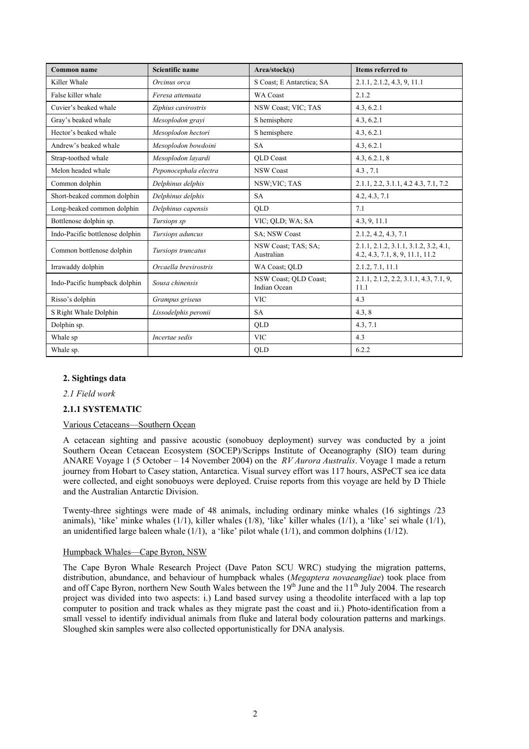| <b>Common name</b>              | Scientific name<br>Area/stock(s) |                                       | <b>Items referred to</b>                                                 |
|---------------------------------|----------------------------------|---------------------------------------|--------------------------------------------------------------------------|
| Killer Whale                    | Orcinus orca                     | S Coast; E Antarctica; SA             | 2.1.1, 2.1.2, 4.3, 9, 11.1                                               |
| False killer whale              | Feresa attenuata                 | <b>WA Coast</b>                       | 2.1.2                                                                    |
| Cuvier's beaked whale           | Ziphius cavirostris              | NSW Coast; VIC; TAS                   | 4.3, 6.2.1                                                               |
| Gray's beaked whale             | Mesoplodon grayi                 | S hemisphere                          | 4.3, 6.2.1                                                               |
| Hector's beaked whale           | Mesoplodon hectori               | S hemisphere                          | 4.3, 6.2.1                                                               |
| Andrew's beaked whale           | Mesoplodon bowdoini              | <b>SA</b>                             | 4.3, 6.2.1                                                               |
| Strap-toothed whale             | Mesoplodon lavardi               | <b>OLD</b> Coast                      | 4.3, 6.2.1, 8                                                            |
| Melon headed whale              | Peponocephala electra            | <b>NSW Coast</b>                      | 4.3, 7.1                                                                 |
| Common dolphin                  | Delphinus delphis                | NSW;VIC; TAS                          | 2.1.1, 2.2, 3.1.1, 4.2 4.3, 7.1, 7.2                                     |
| Short-beaked common dolphin     | Delphinus delphis                | <b>SA</b>                             | 4.2, 4.3, 7.1                                                            |
| Long-beaked common dolphin      | Delphinus capensis               | <b>OLD</b>                            | 7.1                                                                      |
| Bottlenose dolphin sp.          | Tursiops sp                      | VIC; OLD; WA; SA                      | 4.3, 9, 11.1                                                             |
| Indo-Pacific bottlenose dolphin | Tursiops aduncus                 | SA; NSW Coast                         | 2.1.2, 4.2, 4.3, 7.1                                                     |
| Common bottlenose dolphin       | Tursiops truncatus               | NSW Coast; TAS; SA;<br>Australian     | 2.1.1, 2.1.2, 3.1.1, 3.1.2, 3.2, 4.1,<br>4.2, 4.3, 7.1, 8, 9, 11.1, 11.2 |
| Irrawaddy dolphin               | Orcaella brevirostris            | WA Coast; OLD                         | 2.1.2, 7.1, 11.1                                                         |
| Indo-Pacific humpback dolphin   | Sousa chinensis                  | NSW Coast; OLD Coast;<br>Indian Ocean | $2.1.1, 2.1.2, 2.2, 3.1.1, 4.3, 7.1, 9,$<br>11.1                         |
| Risso's dolphin                 | Grampus griseus                  | <b>VIC</b>                            | 4.3                                                                      |
| S Right Whale Dolphin           | Lissodelphis peronii             | <b>SA</b>                             | 4.3, 8                                                                   |
| Dolphin sp.                     |                                  | <b>OLD</b>                            | 4.3, 7.1                                                                 |
| Whale sp                        | Incertae sedis                   | <b>VIC</b>                            | 4.3                                                                      |
| Whale sp.                       |                                  | QLD                                   | 6.2.2                                                                    |

### **2. Sightings data**

*2.1 Field work* 

#### **2.1.1 SYSTEMATIC**

### Various Cetaceans—Southern Ocean

A cetacean sighting and passive acoustic (sonobuoy deployment) survey was conducted by a joint Southern Ocean Cetacean Ecosystem (SOCEP)/Scripps Institute of Oceanography (SIO) team during ANARE Voyage 1 (5 October – 14 November 2004) on the *RV Aurora Australis*. Voyage 1 made a return journey from Hobart to Casey station, Antarctica. Visual survey effort was 117 hours, ASPeCT sea ice data were collected, and eight sonobuoys were deployed. Cruise reports from this voyage are held by D Thiele and the Australian Antarctic Division.

Twenty-three sightings were made of 48 animals, including ordinary minke whales (16 sightings /23 animals), 'like' minke whales (1/1), killer whales (1/8), 'like' killer whales (1/1), a 'like' sei whale (1/1), an unidentified large baleen whale  $(1/1)$ , a 'like' pilot whale  $(1/1)$ , and common dolphins  $(1/12)$ .

#### Humpback Whales—Cape Byron, NSW

The Cape Byron Whale Research Project (Dave Paton SCU WRC) studying the migration patterns, distribution, abundance, and behaviour of humpback whales (*Megaptera novaeangliae*) took place from and off Cape Byron, northern New South Wales between the  $19<sup>th</sup>$  June and the  $11<sup>th</sup>$  July 2004. The research project was divided into two aspects: i.) Land based survey using a theodolite interfaced with a lap top computer to position and track whales as they migrate past the coast and ii.) Photo-identification from a small vessel to identify individual animals from fluke and lateral body colouration patterns and markings. Sloughed skin samples were also collected opportunistically for DNA analysis.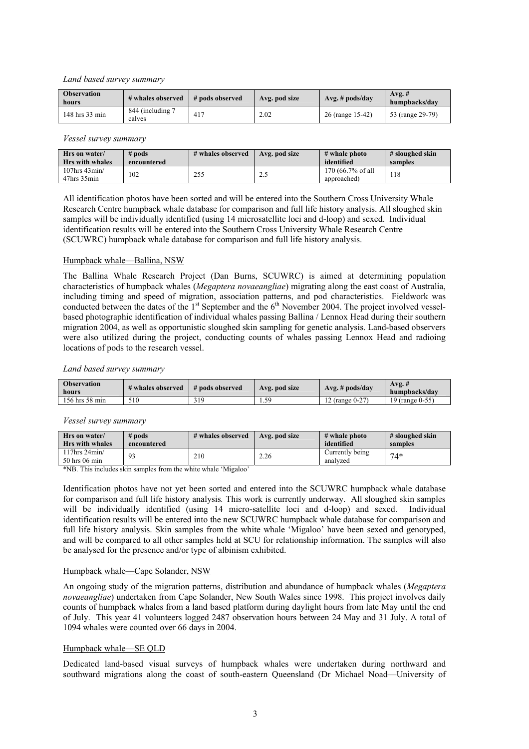### *Land based survey summary*

| <b>Observation</b><br>hours | # whales observed          | # pods observed | Avg. pod size | $Avg.$ # pods/day | $Avg.$ #<br>humpbacks/day |
|-----------------------------|----------------------------|-----------------|---------------|-------------------|---------------------------|
| 148 hrs 33 min              | 844 (including 7<br>calves | 417             | 2.02          | 26 (range 15-42)  | 53 (range 29-79)          |

#### *Vessel survey summary*

| Hrs on water/<br><b>Hrs</b> with whales   | $#$ pods<br>encountered | # whales observed | Avg. pod size | $#$ whale photo<br>identified    | # sloughed skin<br>samples |
|-------------------------------------------|-------------------------|-------------------|---------------|----------------------------------|----------------------------|
| $107$ hrs 43 $\text{min}/$<br>47hrs 35min | 102                     | 255               | $\sim$<br>ن ک | 170 (66.7% of all<br>approached) | 118                        |

All identification photos have been sorted and will be entered into the Southern Cross University Whale Research Centre humpback whale database for comparison and full life history analysis. All sloughed skin samples will be individually identified (using 14 microsatellite loci and d-loop) and sexed. Individual identification results will be entered into the Southern Cross University Whale Research Centre (SCUWRC) humpback whale database for comparison and full life history analysis.

### Humpback whale—Ballina, NSW

The Ballina Whale Research Project (Dan Burns, SCUWRC) is aimed at determining population characteristics of humpback whales (*Megaptera novaeangliae*) migrating along the east coast of Australia, including timing and speed of migration, association patterns, and pod characteristics. Fieldwork was conducted between the dates of the  $1<sup>st</sup>$  September and the  $6<sup>th</sup>$  November 2004. The project involved vesselbased photographic identification of individual whales passing Ballina / Lennox Head during their southern migration 2004, as well as opportunistic sloughed skin sampling for genetic analysis. Land-based observers were also utilized during the project, conducting counts of whales passing Lennox Head and radioing locations of pods to the research vessel.

#### *Land based survey summary*

| <b>Observation</b><br>hours | # whales observed | # pods observed | Avg. pod size | $Avg.$ # pods/day | $Avg. \#$<br>humpbacks/day |
|-----------------------------|-------------------|-----------------|---------------|-------------------|----------------------------|
| 156 hrs 58 min              | 510               | 319             | 50<br>1.JJ    | 12 (range 0-27)   | 19 (range 0-55)            |

### *Vessel survey summary*

| Hrs on water/<br><b>Hrs</b> with whales | $#$ pods<br>encountered | # whales observed | Avg. pod size | # whale photo<br>identified | # sloughed skin<br>samples |
|-----------------------------------------|-------------------------|-------------------|---------------|-----------------------------|----------------------------|
| $117$ hrs $24$ min/<br>50 hrs 06 min    |                         | 210               | 2.26          | Currently being<br>analyzed | $74*$                      |

\*NB. This includes skin samples from the white whale 'Migaloo'

Identification photos have not yet been sorted and entered into the SCUWRC humpback whale database for comparison and full life history analysis*.* This work is currently underway. All sloughed skin samples will be individually identified (using 14 micro-satellite loci and d-loop) and sexed. Individual identification results will be entered into the new SCUWRC humpback whale database for comparison and full life history analysis. Skin samples from the white whale 'Migaloo' have been sexed and genotyped, and will be compared to all other samples held at SCU for relationship information. The samples will also be analysed for the presence and/or type of albinism exhibited.

### Humpback whale—Cape Solander, NSW

An ongoing study of the migration patterns, distribution and abundance of humpback whales (*Megaptera novaeangliae*) undertaken from Cape Solander, New South Wales since 1998. This project involves daily counts of humpback whales from a land based platform during daylight hours from late May until the end of July. This year 41 volunteers logged 2487 observation hours between 24 May and 31 July. A total of 1094 whales were counted over 66 days in 2004.

#### Humpback whale—SE QLD

Dedicated land-based visual surveys of humpback whales were undertaken during northward and southward migrations along the coast of south-eastern Queensland (Dr Michael Noad—University of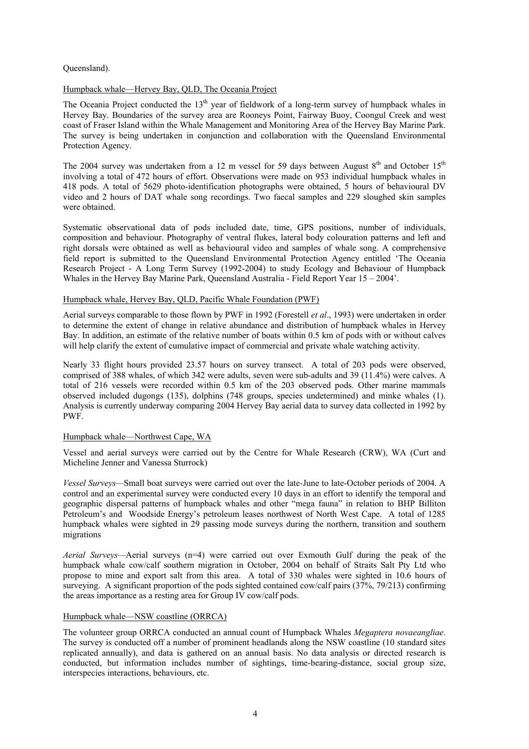### Queensland).

### Humpback whale—Hervey Bay, QLD, The Oceania Project

The Oceania Project conducted the  $13<sup>th</sup>$  year of fieldwork of a long-term survey of humpback whales in Hervey Bay. Boundaries of the survey area are Rooneys Point, Fairway Buoy, Coongul Creek and west coast of Fraser Island within the Whale Management and Monitoring Area of the Hervey Bay Marine Park. The survey is being undertaken in conjunction and collaboration with the Queensland Environmental Protection Agency.

The 2004 survey was undertaken from a 12 m vessel for 59 days between August  $8<sup>th</sup>$  and October 15<sup>th</sup> involving a total of 472 hours of effort. Observations were made on 953 individual humpback whales in 418 pods. A total of 5629 photo-identification photographs were obtained, 5 hours of behavioural DV video and 2 hours of DAT whale song recordings. Two faecal samples and 229 sloughed skin samples were obtained.

Systematic observational data of pods included date, time, GPS positions, number of individuals, composition and behaviour. Photography of ventral flukes, lateral body colouration patterns and left and right dorsals were obtained as well as behavioural video and samples of whale song. A comprehensive field report is submitted to the Queensland Environmental Protection Agency entitled 'The Oceania Research Project - A Long Term Survey (1992-2004) to study Ecology and Behaviour of Humpback Whales in the Hervey Bay Marine Park, Queensland Australia - Field Report Year 15 – 2004'.

#### Humpback whale, Hervey Bay, QLD, Pacific Whale Foundation (PWF)

Aerial surveys comparable to those flown by PWF in 1992 (Forestell *et al*., 1993) were undertaken in order to determine the extent of change in relative abundance and distribution of humpback whales in Hervey Bay. In addition, an estimate of the relative number of boats within 0.5 km of pods with or without calves will help clarify the extent of cumulative impact of commercial and private whale watching activity.

Nearly 33 flight hours provided 23.57 hours on survey transect. A total of 203 pods were observed, comprised of 388 whales, of which 342 were adults, seven were sub-adults and 39 (11.4%) were calves. A total of 216 vessels were recorded within 0.5 km of the 203 observed pods. Other marine mammals observed included dugongs (135), dolphins (748 groups, species undetermined) and minke whales (1). Analysis is currently underway comparing 2004 Hervey Bay aerial data to survey data collected in 1992 by PWF.

### Humpback whale—Northwest Cape, WA

Vessel and aerial surveys were carried out by the Centre for Whale Research (CRW), WA (Curt and Micheline Jenner and Vanessa Sturrock)

*Vessel Surveys—*Small boat surveys were carried out over the late-June to late-October periods of 2004. A control and an experimental survey were conducted every 10 days in an effort to identify the temporal and geographic dispersal patterns of humpback whales and other "mega fauna" in relation to BHP Billiton Petroleum's and Woodside Energy's petroleum leases northwest of North West Cape. A total of 1285 humpback whales were sighted in 29 passing mode surveys during the northern, transition and southern migrations

*Aerial Surveys—*Aerial surveys (n=4) were carried out over Exmouth Gulf during the peak of the humpback whale cow/calf southern migration in October, 2004 on behalf of Straits Salt Pty Ltd who propose to mine and export salt from this area. A total of 330 whales were sighted in 10.6 hours of surveying. A significant proportion of the pods sighted contained cow/calf pairs (37%, 79/213) confirming the areas importance as a resting area for Group IV cow/calf pods.

#### Humpback whale—NSW coastline (ORRCA)

The volunteer group ORRCA conducted an annual count of Humpback Whales *Megaptera novaeangliae*. The survey is conducted off a number of prominent headlands along the NSW coastline (10 standard sites replicated annually), and data is gathered on an annual basis. No data analysis or directed research is conducted, but information includes number of sightings, time-bearing-distance, social group size, interspecies interactions, behaviours, etc.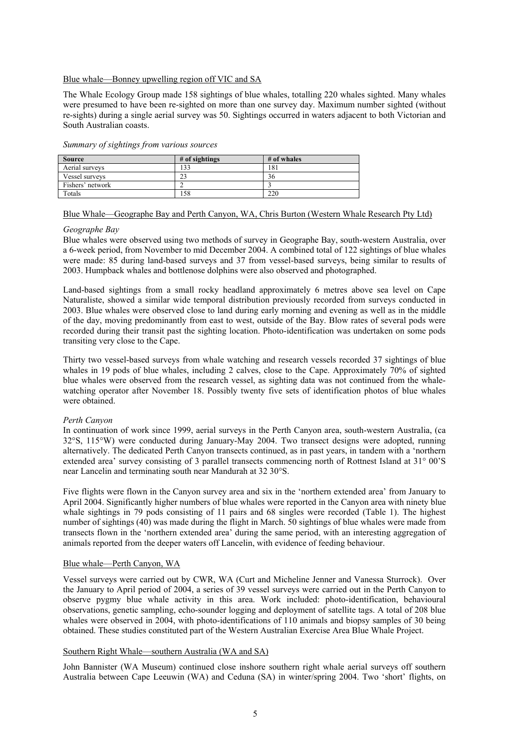#### Blue whale—Bonney upwelling region off VIC and SA

The Whale Ecology Group made 158 sightings of blue whales, totalling 220 whales sighted. Many whales were presumed to have been re-sighted on more than one survey day. Maximum number sighted (without re-sights) during a single aerial survey was 50. Sightings occurred in waters adjacent to both Victorian and South Australian coasts.

| <b>Source</b>    | $#$ of sightings | # of whales |
|------------------|------------------|-------------|
| Aerial surveys   | 33               | 181         |
| Vessel surveys   |                  | 36          |
| Fishers' network |                  |             |
| Totals           | 58               | 220         |

*Summary of sightings from various sources* 

### Blue Whale—Geographe Bay and Perth Canyon, WA, Chris Burton (Western Whale Research Pty Ltd)

#### *Geographe Bay*

Blue whales were observed using two methods of survey in Geographe Bay, south-western Australia, over a 6-week period, from November to mid December 2004. A combined total of 122 sightings of blue whales were made: 85 during land-based surveys and 37 from vessel-based surveys, being similar to results of 2003. Humpback whales and bottlenose dolphins were also observed and photographed.

Land-based sightings from a small rocky headland approximately 6 metres above sea level on Cape Naturaliste, showed a similar wide temporal distribution previously recorded from surveys conducted in 2003. Blue whales were observed close to land during early morning and evening as well as in the middle of the day, moving predominantly from east to west, outside of the Bay. Blow rates of several pods were recorded during their transit past the sighting location. Photo-identification was undertaken on some pods transiting very close to the Cape.

Thirty two vessel-based surveys from whale watching and research vessels recorded 37 sightings of blue whales in 19 pods of blue whales, including 2 calves, close to the Cape. Approximately 70% of sighted blue whales were observed from the research vessel, as sighting data was not continued from the whalewatching operator after November 18. Possibly twenty five sets of identification photos of blue whales were obtained.

#### *Perth Canyon*

In continuation of work since 1999, aerial surveys in the Perth Canyon area, south-western Australia, (ca 32°S, 115°W) were conducted during January-May 2004. Two transect designs were adopted, running alternatively. The dedicated Perth Canyon transects continued, as in past years, in tandem with a 'northern extended area' survey consisting of 3 parallel transects commencing north of Rottnest Island at 31° 00'S near Lancelin and terminating south near Mandurah at 32 30°S.

Five flights were flown in the Canyon survey area and six in the 'northern extended area' from January to April 2004. Significantly higher numbers of blue whales were reported in the Canyon area with ninety blue whale sightings in 79 pods consisting of 11 pairs and 68 singles were recorded (Table 1). The highest number of sightings (40) was made during the flight in March. 50 sightings of blue whales were made from transects flown in the 'northern extended area' during the same period, with an interesting aggregation of animals reported from the deeper waters off Lancelin, with evidence of feeding behaviour.

#### Blue whale—Perth Canyon, WA

Vessel surveys were carried out by CWR, WA (Curt and Micheline Jenner and Vanessa Sturrock). Over the January to April period of 2004, a series of 39 vessel surveys were carried out in the Perth Canyon to observe pygmy blue whale activity in this area. Work included: photo-identification, behavioural observations, genetic sampling, echo-sounder logging and deployment of satellite tags. A total of 208 blue whales were observed in 2004, with photo-identifications of 110 animals and biopsy samples of 30 being obtained. These studies constituted part of the Western Australian Exercise Area Blue Whale Project.

#### Southern Right Whale—southern Australia (WA and SA)

John Bannister (WA Museum) continued close inshore southern right whale aerial surveys off southern Australia between Cape Leeuwin (WA) and Ceduna (SA) in winter/spring 2004. Two 'short' flights, on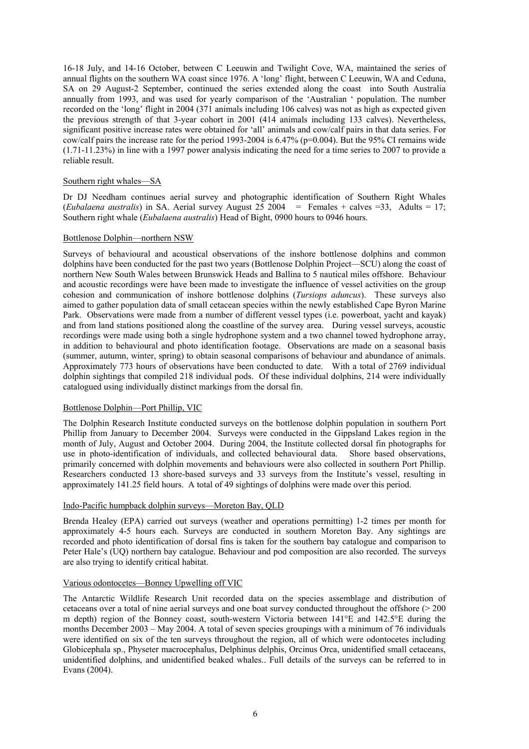16-18 July, and 14-16 October, between C Leeuwin and Twilight Cove, WA, maintained the series of annual flights on the southern WA coast since 1976. A 'long' flight, between C Leeuwin, WA and Ceduna, SA on 29 August-2 September, continued the series extended along the coast into South Australia annually from 1993, and was used for yearly comparison of the 'Australian ' population. The number recorded on the 'long' flight in 2004 (371 animals including 106 calves) was not as high as expected given the previous strength of that 3-year cohort in 2001 (414 animals including 133 calves). Nevertheless, significant positive increase rates were obtained for 'all' animals and cow/calf pairs in that data series. For cow/calf pairs the increase rate for the period 1993-2004 is 6.47% (p=0.004). But the 95% CI remains wide (1.71-11.23%) in line with a 1997 power analysis indicating the need for a time series to 2007 to provide a reliable result.

### Southern right whales—SA

Dr DJ Needham continues aerial survey and photographic identification of Southern Right Whales (*Eubalaena australis*) in SA. Aerial survey August 25 2004 = Females + calves =33, Adults = 17; Southern right whale (*Eubalaena australis*) Head of Bight, 0900 hours to 0946 hours.

### Bottlenose Dolphin—northern NSW

Surveys of behavioural and acoustical observations of the inshore bottlenose dolphins and common dolphins have been conducted for the past two years (Bottlenose Dolphin Project—SCU) along the coast of northern New South Wales between Brunswick Heads and Ballina to 5 nautical miles offshore. Behaviour and acoustic recordings were have been made to investigate the influence of vessel activities on the group cohesion and communication of inshore bottlenose dolphins (*Tursiops aduncus*). These surveys also aimed to gather population data of small cetacean species within the newly established Cape Byron Marine Park. Observations were made from a number of different vessel types (i.e. powerboat, yacht and kayak) and from land stations positioned along the coastline of the survey area. During vessel surveys, acoustic recordings were made using both a single hydrophone system and a two channel towed hydrophone array, in addition to behavioural and photo identification footage. Observations are made on a seasonal basis (summer, autumn, winter, spring) to obtain seasonal comparisons of behaviour and abundance of animals. Approximately 773 hours of observations have been conducted to date. With a total of 2769 individual dolphin sightings that compiled 218 individual pods. Of these individual dolphins, 214 were individually catalogued using individually distinct markings from the dorsal fin.

#### Bottlenose Dolphin—Port Phillip, VIC

The Dolphin Research Institute conducted surveys on the bottlenose dolphin population in southern Port Phillip from January to December 2004. Surveys were conducted in the Gippsland Lakes region in the month of July, August and October 2004. During 2004, the Institute collected dorsal fin photographs for use in photo-identification of individuals, and collected behavioural data. Shore based observations, primarily concerned with dolphin movements and behaviours were also collected in southern Port Phillip. Researchers conducted 13 shore-based surveys and 33 surveys from the Institute's vessel, resulting in approximately 141.25 field hours. A total of 49 sightings of dolphins were made over this period.

### Indo-Pacific humpback dolphin surveys—Moreton Bay, QLD

Brenda Healey (EPA) carried out surveys (weather and operations permitting) 1-2 times per month for approximately 4-5 hours each. Surveys are conducted in southern Moreton Bay. Any sightings are recorded and photo identification of dorsal fins is taken for the southern bay catalogue and comparison to Peter Hale's (UQ) northern bay catalogue. Behaviour and pod composition are also recorded. The surveys are also trying to identify critical habitat.

### Various odontocetes—Bonney Upwelling off VIC

The Antarctic Wildlife Research Unit recorded data on the species assemblage and distribution of cetaceans over a total of nine aerial surveys and one boat survey conducted throughout the offshore (> 200 m depth) region of the Bonney coast, south-western Victoria between 141°E and 142.5°E during the months December 2003 – May 2004. A total of seven species groupings with a minimum of 76 individuals were identified on six of the ten surveys throughout the region, all of which were odontocetes including Globicephala sp., Physeter macrocephalus, Delphinus delphis, Orcinus Orca, unidentified small cetaceans, unidentified dolphins, and unidentified beaked whales.. Full details of the surveys can be referred to in Evans (2004).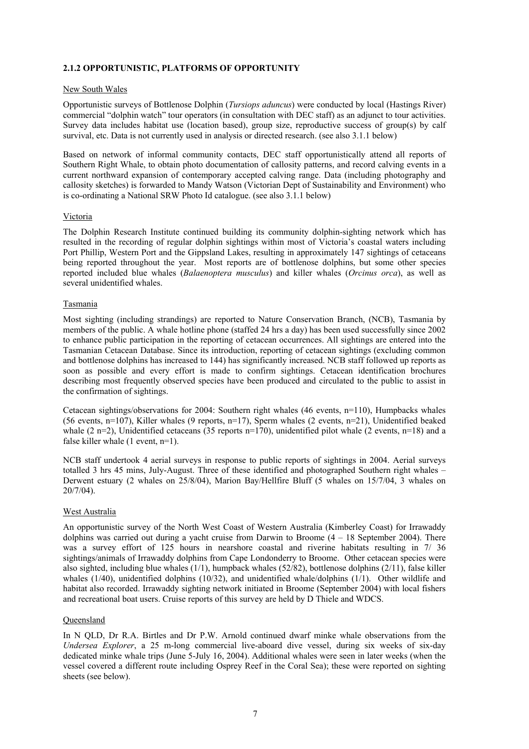### **2.1.2 OPPORTUNISTIC, PLATFORMS OF OPPORTUNITY**

### New South Wales

Opportunistic surveys of Bottlenose Dolphin (*Tursiops aduncus*) were conducted by local (Hastings River) commercial "dolphin watch" tour operators (in consultation with DEC staff) as an adjunct to tour activities. Survey data includes habitat use (location based), group size, reproductive success of group(s) by calf survival, etc. Data is not currently used in analysis or directed research. (see also 3.1.1 below)

Based on network of informal community contacts, DEC staff opportunistically attend all reports of Southern Right Whale, to obtain photo documentation of callosity patterns, and record calving events in a current northward expansion of contemporary accepted calving range. Data (including photography and callosity sketches) is forwarded to Mandy Watson (Victorian Dept of Sustainability and Environment) who is co-ordinating a National SRW Photo Id catalogue. (see also 3.1.1 below)

### Victoria

The Dolphin Research Institute continued building its community dolphin-sighting network which has resulted in the recording of regular dolphin sightings within most of Victoria's coastal waters including Port Phillip, Western Port and the Gippsland Lakes, resulting in approximately 147 sightings of cetaceans being reported throughout the year. Most reports are of bottlenose dolphins, but some other species reported included blue whales (*Balaenoptera musculus*) and killer whales (*Orcinus orca*), as well as several unidentified whales.

### Tasmania

Most sighting (including strandings) are reported to Nature Conservation Branch, (NCB), Tasmania by members of the public. A whale hotline phone (staffed 24 hrs a day) has been used successfully since 2002 to enhance public participation in the reporting of cetacean occurrences. All sightings are entered into the Tasmanian Cetacean Database. Since its introduction, reporting of cetacean sightings (excluding common and bottlenose dolphins has increased to 144) has significantly increased. NCB staff followed up reports as soon as possible and every effort is made to confirm sightings. Cetacean identification brochures describing most frequently observed species have been produced and circulated to the public to assist in the confirmation of sightings.

Cetacean sightings/observations for 2004: Southern right whales (46 events, n=110), Humpbacks whales (56 events, n=107), Killer whales (9 reports, n=17), Sperm whales (2 events, n=21), Unidentified beaked whale (2 n=2), Unidentified cetaceans (35 reports n=170), unidentified pilot whale (2 events, n=18) and a false killer whale  $(1$  event, n=1).

NCB staff undertook 4 aerial surveys in response to public reports of sightings in 2004. Aerial surveys totalled 3 hrs 45 mins, July-August. Three of these identified and photographed Southern right whales – Derwent estuary (2 whales on 25/8/04), Marion Bay/Hellfire Bluff (5 whales on 15/7/04, 3 whales on 20/7/04).

### West Australia

An opportunistic survey of the North West Coast of Western Australia (Kimberley Coast) for Irrawaddy dolphins was carried out during a yacht cruise from Darwin to Broome  $(4 - 18$  September 2004). There was a survey effort of 125 hours in nearshore coastal and riverine habitats resulting in 7/ 36 sightings/animals of Irrawaddy dolphins from Cape Londonderry to Broome. Other cetacean species were also sighted, including blue whales  $(1/1)$ , humpback whales  $(52/82)$ , bottlenose dolphins  $(2/11)$ , false killer whales (1/40), unidentified dolphins (10/32), and unidentified whale/dolphins (1/1). Other wildlife and habitat also recorded. Irrawaddy sighting network initiated in Broome (September 2004) with local fishers and recreational boat users. Cruise reports of this survey are held by D Thiele and WDCS.

### **Queensland**

In N QLD, Dr R.A. Birtles and Dr P.W. Arnold continued dwarf minke whale observations from the *Undersea Explorer*, a 25 m-long commercial live-aboard dive vessel, during six weeks of six-day dedicated minke whale trips (June 5-July 16, 2004). Additional whales were seen in later weeks (when the vessel covered a different route including Osprey Reef in the Coral Sea); these were reported on sighting sheets (see below).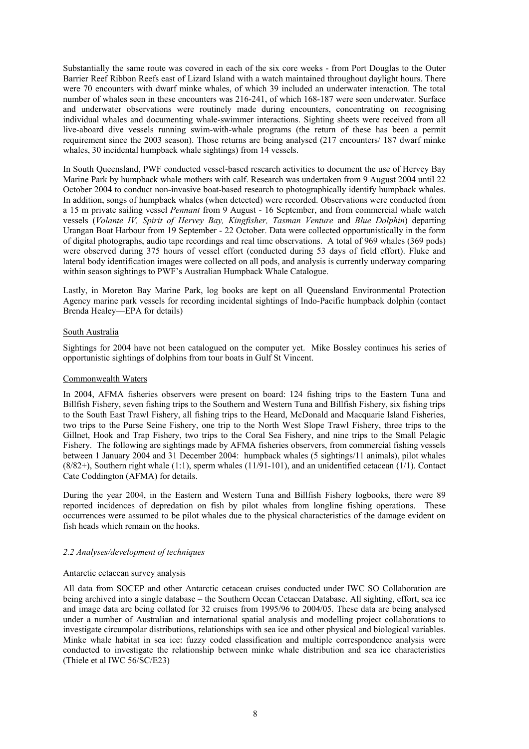Substantially the same route was covered in each of the six core weeks - from Port Douglas to the Outer Barrier Reef Ribbon Reefs east of Lizard Island with a watch maintained throughout daylight hours. There were 70 encounters with dwarf minke whales, of which 39 included an underwater interaction. The total number of whales seen in these encounters was 216-241, of which 168-187 were seen underwater. Surface and underwater observations were routinely made during encounters, concentrating on recognising individual whales and documenting whale-swimmer interactions. Sighting sheets were received from all live-aboard dive vessels running swim-with-whale programs (the return of these has been a permit requirement since the 2003 season). Those returns are being analysed (217 encounters/ 187 dwarf minke whales, 30 incidental humpback whale sightings) from 14 vessels.

In South Queensland, PWF conducted vessel-based research activities to document the use of Hervey Bay Marine Park by humpback whale mothers with calf. Research was undertaken from 9 August 2004 until 22 October 2004 to conduct non-invasive boat-based research to photographically identify humpback whales. In addition, songs of humpback whales (when detected) were recorded. Observations were conducted from a 15 m private sailing vessel *Pennant* from 9 August - 16 September, and from commercial whale watch vessels (*Volante IV, Spirit of Hervey Bay, Kingfisher, Tasman Venture* and *Blue Dolphin*) departing Urangan Boat Harbour from 19 September - 22 October. Data were collected opportunistically in the form of digital photographs, audio tape recordings and real time observations. A total of 969 whales (369 pods) were observed during 375 hours of vessel effort (conducted during 53 days of field effort). Fluke and lateral body identification images were collected on all pods, and analysis is currently underway comparing within season sightings to PWF's Australian Humpback Whale Catalogue.

Lastly, in Moreton Bay Marine Park, log books are kept on all Queensland Environmental Protection Agency marine park vessels for recording incidental sightings of Indo-Pacific humpback dolphin (contact Brenda Healey—EPA for details)

#### South Australia

Sightings for 2004 have not been catalogued on the computer yet. Mike Bossley continues his series of opportunistic sightings of dolphins from tour boats in Gulf St Vincent.

#### Commonwealth Waters

In 2004, AFMA fisheries observers were present on board: 124 fishing trips to the Eastern Tuna and Billfish Fishery, seven fishing trips to the Southern and Western Tuna and Billfish Fishery, six fishing trips to the South East Trawl Fishery, all fishing trips to the Heard, McDonald and Macquarie Island Fisheries, two trips to the Purse Seine Fishery, one trip to the North West Slope Trawl Fishery, three trips to the Gillnet, Hook and Trap Fishery, two trips to the Coral Sea Fishery, and nine trips to the Small Pelagic Fishery. The following are sightings made by AFMA fisheries observers, from commercial fishing vessels between 1 January 2004 and 31 December 2004: humpback whales (5 sightings/11 animals), pilot whales  $(8/82+)$ , Southern right whale (1:1), sperm whales (11/91-101), and an unidentified cetacean (1/1). Contact Cate Coddington (AFMA) for details.

During the year 2004, in the Eastern and Western Tuna and Billfish Fishery logbooks, there were 89 reported incidences of depredation on fish by pilot whales from longline fishing operations. These occurrences were assumed to be pilot whales due to the physical characteristics of the damage evident on fish heads which remain on the hooks.

#### *2.2 Analyses/development of techniques*

#### Antarctic cetacean survey analysis

All data from SOCEP and other Antarctic cetacean cruises conducted under IWC SO Collaboration are being archived into a single database – the Southern Ocean Cetacean Database. All sighting, effort, sea ice and image data are being collated for 32 cruises from 1995/96 to 2004/05. These data are being analysed under a number of Australian and international spatial analysis and modelling project collaborations to investigate circumpolar distributions, relationships with sea ice and other physical and biological variables. Minke whale habitat in sea ice: fuzzy coded classification and multiple correspondence analysis were conducted to investigate the relationship between minke whale distribution and sea ice characteristics (Thiele et al IWC 56/SC/E23)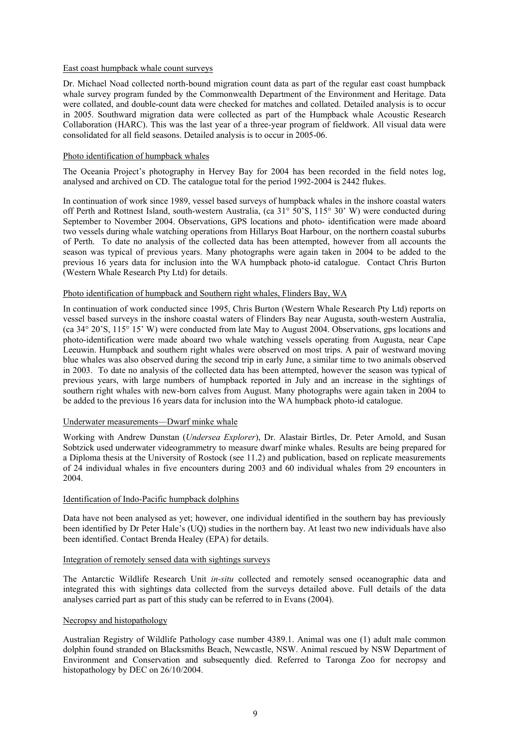### East coast humpback whale count surveys

Dr. Michael Noad collected north-bound migration count data as part of the regular east coast humpback whale survey program funded by the Commonwealth Department of the Environment and Heritage. Data were collated, and double-count data were checked for matches and collated. Detailed analysis is to occur in 2005. Southward migration data were collected as part of the Humpback whale Acoustic Research Collaboration (HARC). This was the last year of a three-year program of fieldwork. All visual data were consolidated for all field seasons. Detailed analysis is to occur in 2005-06.

### Photo identification of humpback whales

The Oceania Project's photography in Hervey Bay for 2004 has been recorded in the field notes log, analysed and archived on CD. The catalogue total for the period 1992-2004 is 2442 flukes.

In continuation of work since 1989, vessel based surveys of humpback whales in the inshore coastal waters off Perth and Rottnest Island, south-western Australia, (ca 31° 50'S, 115° 30' W) were conducted during September to November 2004. Observations, GPS locations and photo- identification were made aboard two vessels during whale watching operations from Hillarys Boat Harbour, on the northern coastal suburbs of Perth. To date no analysis of the collected data has been attempted, however from all accounts the season was typical of previous years. Many photographs were again taken in 2004 to be added to the previous 16 years data for inclusion into the WA humpback photo-id catalogue. Contact Chris Burton (Western Whale Research Pty Ltd) for details.

### Photo identification of humpback and Southern right whales, Flinders Bay, WA

In continuation of work conducted since 1995, Chris Burton (Western Whale Research Pty Ltd) reports on vessel based surveys in the inshore coastal waters of Flinders Bay near Augusta, south-western Australia, (ca 34° 20'S, 115° 15' W) were conducted from late May to August 2004. Observations, gps locations and photo-identification were made aboard two whale watching vessels operating from Augusta, near Cape Leeuwin. Humpback and southern right whales were observed on most trips. A pair of westward moving blue whales was also observed during the second trip in early June, a similar time to two animals observed in 2003. To date no analysis of the collected data has been attempted, however the season was typical of previous years, with large numbers of humpback reported in July and an increase in the sightings of southern right whales with new-born calves from August. Many photographs were again taken in 2004 to be added to the previous 16 years data for inclusion into the WA humpback photo-id catalogue.

### Underwater measurements—Dwarf minke whale

Working with Andrew Dunstan (*Undersea Explorer*), Dr. Alastair Birtles, Dr. Peter Arnold, and Susan Sobtzick used underwater videogrammetry to measure dwarf minke whales. Results are being prepared for a Diploma thesis at the University of Rostock (see 11.2) and publication, based on replicate measurements of 24 individual whales in five encounters during 2003 and 60 individual whales from 29 encounters in 2004.

#### Identification of Indo-Pacific humpback dolphins

Data have not been analysed as yet; however, one individual identified in the southern bay has previously been identified by Dr Peter Hale's (UQ) studies in the northern bay. At least two new individuals have also been identified. Contact Brenda Healey (EPA) for details.

### Integration of remotely sensed data with sightings surveys

The Antarctic Wildlife Research Unit *in-situ* collected and remotely sensed oceanographic data and integrated this with sightings data collected from the surveys detailed above. Full details of the data analyses carried part as part of this study can be referred to in Evans (2004).

#### Necropsy and histopathology

Australian Registry of Wildlife Pathology case number 4389.1. Animal was one (1) adult male common dolphin found stranded on Blacksmiths Beach, Newcastle, NSW. Animal rescued by NSW Department of Environment and Conservation and subsequently died. Referred to Taronga Zoo for necropsy and histopathology by DEC on 26/10/2004.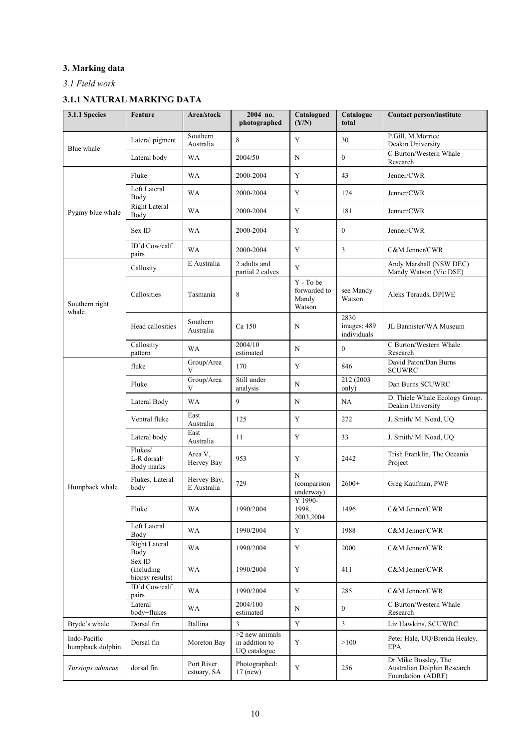# **3. Marking data**

# *3.1 Field work*

# **3.1.1 NATURAL MARKING DATA**

| 3.1.1 Species                    | Feature                                  | Area/stock                 | 2004 no.<br>photographed                           | Catalogued<br>(Y/N)                          | Catalogue<br>total                 | <b>Contact person/institute</b>                                           |
|----------------------------------|------------------------------------------|----------------------------|----------------------------------------------------|----------------------------------------------|------------------------------------|---------------------------------------------------------------------------|
| Blue whale                       | Lateral pigment                          | Southern<br>Australia      | 8                                                  | Y                                            | 30                                 | P.Gill, M.Morrice<br>Deakin University                                    |
|                                  | Lateral body                             | WA                         | 2004/50                                            | N                                            | $\mathbf{0}$                       | C Burton/Western Whale<br>Research                                        |
|                                  | Fluke                                    | <b>WA</b>                  | 2000-2004                                          | Y                                            | 43                                 | Jenner/CWR                                                                |
|                                  | Left Lateral<br>Body                     | <b>WA</b>                  | 2000-2004                                          | Y                                            | 174                                | Jenner/CWR                                                                |
| Pygmy blue whale                 | Right Lateral<br>Body                    | <b>WA</b>                  | 2000-2004                                          | Y                                            | 181                                | Jenner/CWR                                                                |
|                                  | Sex ID                                   | <b>WA</b>                  | 2000-2004                                          | Y                                            | $\mathbf{0}$                       | Jenner/CWR                                                                |
|                                  | ID'd Cow/calf<br>pairs                   | <b>WA</b>                  | 2000-2004                                          | Y                                            | 3                                  | C&M Jenner/CWR                                                            |
|                                  | Callosity                                | E Australia                | 2 adults and<br>partial 2 calves                   | Y                                            |                                    | Andy Marshall (NSW DEC)<br>Mandy Watson (Vic DSE)                         |
| Southern right<br>whale          | Callosities                              | Tasmania                   | 8                                                  | Y - To be<br>forwarded to<br>Mandy<br>Watson | see Mandy<br>Watson                | Aleks Terauds, DPIWE                                                      |
|                                  | Head callosities                         | Southern<br>Australia      | Ca 150                                             | N                                            | 2830<br>images; 489<br>individuals | JL Bannister/WA Museum                                                    |
|                                  | Callositiy<br>pattern                    | <b>WA</b>                  | 2004/10<br>estimated                               | N                                            | $\overline{0}$                     | C Burton/Western Whale<br>Research                                        |
|                                  | fluke                                    | Group/Area<br>V            | 170                                                | Y                                            | 846                                | David Paton/Dan Burns<br><b>SCUWRC</b>                                    |
|                                  | Fluke                                    | Group/Area<br>V            | Still under<br>analysis                            | N                                            | 212 (2003<br>only)                 | Dan Burns SCUWRC                                                          |
|                                  | Lateral Body                             | <b>WA</b>                  | 9                                                  | N                                            | NA                                 | D. Thiele Whale Ecology Group.<br>Deakin University                       |
|                                  | Ventral fluke                            | East<br>Australia          | 125                                                | Y                                            | 272                                | J. Smith/ M. Noad, UQ                                                     |
|                                  | Lateral body                             | East<br>Australia          | 11                                                 | Y                                            | 33                                 | J. Smith/ M. Noad, UQ                                                     |
|                                  | Flukes/<br>L-R dorsal/<br>Body marks     | Area V,<br>Hervey Bay      | 953                                                | Y                                            | 2442                               | Trish Franklin, The Oceania<br>Project                                    |
| Humpback whale                   | Flukes, Lateral<br>body                  | Hervey Bay,<br>E Australia | 729                                                | N<br>(comparison<br>underway)                | $2600+$                            | Greg Kaufman, PWF                                                         |
|                                  | Fluke                                    | <b>WA</b>                  | 1990/2004                                          | Y 1990-<br>1998,<br>2003,2004                | 1496                               | C&M Jenner/CWR                                                            |
|                                  | Left Lateral<br>Body                     | WA                         | 1990/2004                                          | Y                                            | 1988                               | C&M Jenner/CWR                                                            |
|                                  | Right Lateral<br>Body                    | WA                         | 1990/2004                                          | Y                                            | 2000                               | C&M Jenner/CWR                                                            |
|                                  | Sex ID<br>(including)<br>biopsy results) | WA                         | 1990/2004                                          | Y                                            | 411                                | C&M Jenner/CWR                                                            |
|                                  | ID'd Cow/calf<br>pairs                   | WA                         | 1990/2004                                          | Y                                            | 285                                | C&M Jenner/CWR                                                            |
|                                  | Lateral<br>body+flukes                   | WA                         | 2004/100<br>estimated                              | N                                            | $\mathbf{0}$                       | C Burton/Western Whale<br>Research                                        |
| Bryde's whale                    | Dorsal fin                               | Ballina                    | $\overline{3}$                                     | Y                                            | 3                                  | Liz Hawkins, SCUWRC                                                       |
| Indo-Pacific<br>humpback dolphin | Dorsal fin                               | Moreton Bay                | $>2$ new animals<br>in addition to<br>UQ catalogue | Y                                            | >100                               | Peter Hale, UQ/Brenda Healey,<br><b>EPA</b>                               |
| Tursiops aduncus                 | dorsal fin                               | Port River<br>estuary, SA  | Photographed:<br>$17$ (new)                        | Y                                            | 256                                | Dr Mike Bossley, The<br>Australian Dolphin Research<br>Foundation. (ADRF) |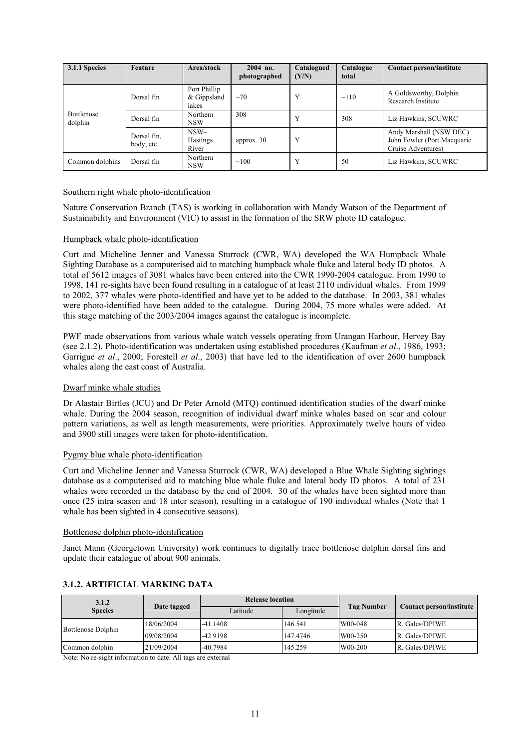| 3.1.1 Species         | Feature                  | Area/stock                             | 2004 no.<br>photographed | Catalogued<br>(Y/N) | Catalogue<br>total | Contact person/institute                                                      |
|-----------------------|--------------------------|----------------------------------------|--------------------------|---------------------|--------------------|-------------------------------------------------------------------------------|
|                       | Dorsal fin               | Port Phillip<br>$&$ Gippsland<br>lakes | $~10^{-7}$               | Y                   | $\sim$ 110         | A Goldsworthy, Dolphin<br>Research Institute                                  |
| Bottlenose<br>dolphin | Dorsal fin               | Northern<br><b>NSW</b>                 | 308                      | Y                   | 308                | Liz Hawkins, SCUWRC                                                           |
|                       | Dorsal fin.<br>body, etc | $NSW-$<br><b>Hastings</b><br>River     | approx. $30$             | Y                   |                    | Andy Marshall (NSW DEC)<br>John Fowler (Port Macquarie)<br>Cruise Adventures) |
| Common dolphins       | Dorsal fin               | Northern<br><b>NSW</b>                 | $\sim$ 100               | Y                   | 50                 | Liz Hawkins, SCUWRC                                                           |

### Southern right whale photo-identification

Nature Conservation Branch (TAS) is working in collaboration with Mandy Watson of the Department of Sustainability and Environment (VIC) to assist in the formation of the SRW photo ID catalogue.

### Humpback whale photo-identification

Curt and Micheline Jenner and Vanessa Sturrock (CWR, WA) developed the WA Humpback Whale Sighting Database as a computerised aid to matching humpback whale fluke and lateral body ID photos. A total of 5612 images of 3081 whales have been entered into the CWR 1990-2004 catalogue. From 1990 to 1998, 141 re-sights have been found resulting in a catalogue of at least 2110 individual whales. From 1999 to 2002, 377 whales were photo-identified and have yet to be added to the database. In 2003, 381 whales were photo-identified have been added to the catalogue. During 2004, 75 more whales were added. At this stage matching of the 2003/2004 images against the catalogue is incomplete.

PWF made observations from various whale watch vessels operating from Urangan Harbour, Hervey Bay (see 2.1.2). Photo-identification was undertaken using established procedures (Kaufman *et al*., 1986, 1993; Garrigue *et al*., 2000; Forestell *et al*., 2003) that have led to the identification of over 2600 humpback whales along the east coast of Australia.

### Dwarf minke whale studies

Dr Alastair Birtles (JCU) and Dr Peter Arnold (MTQ) continued identification studies of the dwarf minke whale. During the 2004 season, recognition of individual dwarf minke whales based on scar and colour pattern variations, as well as length measurements, were priorities. Approximately twelve hours of video and 3900 still images were taken for photo-identification.

### Pygmy blue whale photo-identification

Curt and Micheline Jenner and Vanessa Sturrock (CWR, WA) developed a Blue Whale Sighting sightings database as a computerised aid to matching blue whale fluke and lateral body ID photos. A total of 231 whales were recorded in the database by the end of 2004. 30 of the whales have been sighted more than once (25 intra season and 18 inter season), resulting in a catalogue of 190 individual whales (Note that 1 whale has been sighted in 4 consecutive seasons).

### Bottlenose dolphin photo-identification

Janet Mann (Georgetown University) work continues to digitally trace bottlenose dolphin dorsal fins and update their catalogue of about 900 animals.

| 3.1.2              |             | <b>Release location</b> |           |            |                          |  |
|--------------------|-------------|-------------------------|-----------|------------|--------------------------|--|
| <b>Species</b>     | Date tagged | Latitude                | Longitude | Tag Number | Contact person/institute |  |
| Bottlenose Dolphin | 18/06/2004  | $-41.1408$              | 146.541   | W00-048    | R. Gales/DPIWE           |  |
|                    | 09/08/2004  | -42.9198                | 147.4746  | W00-250    | R. Gales/DPIWE           |  |
| Common dolphin     | 21/09/2004  | $-40.7984$              | 145.259   | W00-200    | R. Gales/DPIWE           |  |

### **3.1.2. ARTIFICIAL MARKING DATA**

Note: No re-sight information to date. All tags are external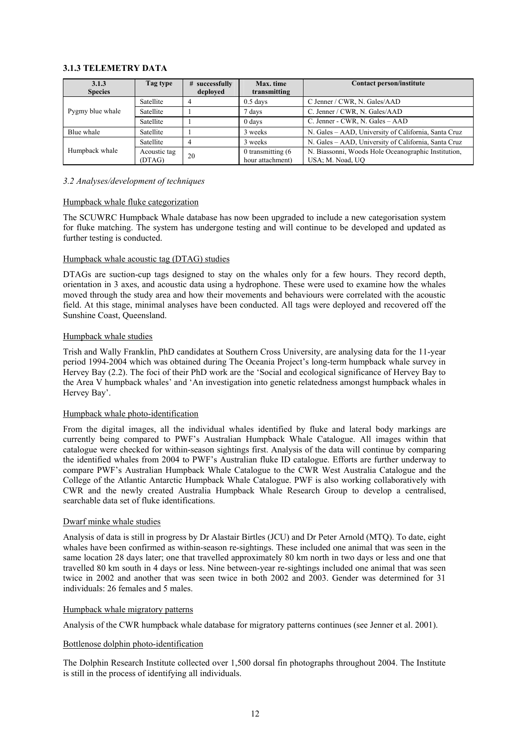### **3.1.3 TELEMETRY DATA**

| 3.1.3<br><b>Species</b> | Tag type               | # successfully<br>deployed | Max. time<br>transmitting                | <b>Contact person/institute</b>                                         |
|-------------------------|------------------------|----------------------------|------------------------------------------|-------------------------------------------------------------------------|
|                         | Satellite              |                            | $0.5$ days                               | C Jenner / CWR, N. Gales/AAD                                            |
| Pygmy blue whale        | Satellite              |                            | 7 days                                   | C. Jenner / CWR, N. Gales/AAD                                           |
|                         | Satellite              |                            | $0$ days                                 | C. Jenner - CWR, N. Gales - AAD                                         |
| Blue whale              | Satellite              |                            | 3 weeks                                  | N. Gales - AAD, University of California, Santa Cruz                    |
|                         | Satellite              |                            | 3 weeks                                  | N. Gales - AAD, University of California, Santa Cruz                    |
| Humpback whale          | Acoustic tag<br>(DTAG) | 20                         | 0 transmitting $(6)$<br>hour attachment) | N. Biassonni, Woods Hole Oceanographic Institution,<br>USA; M. Noad, UO |

### *3.2 Analyses/development of techniques*

### Humpback whale fluke categorization

The SCUWRC Humpback Whale database has now been upgraded to include a new categorisation system for fluke matching. The system has undergone testing and will continue to be developed and updated as further testing is conducted.

### Humpback whale acoustic tag (DTAG) studies

DTAGs are suction-cup tags designed to stay on the whales only for a few hours. They record depth, orientation in 3 axes, and acoustic data using a hydrophone. These were used to examine how the whales moved through the study area and how their movements and behaviours were correlated with the acoustic field. At this stage, minimal analyses have been conducted. All tags were deployed and recovered off the Sunshine Coast, Queensland.

### Humpback whale studies

Trish and Wally Franklin, PhD candidates at Southern Cross University, are analysing data for the 11-year period 1994-2004 which was obtained during The Oceania Project's long-term humpback whale survey in Hervey Bay (2.2). The foci of their PhD work are the 'Social and ecological significance of Hervey Bay to the Area V humpback whales' and 'An investigation into genetic relatedness amongst humpback whales in Hervey Bay'.

#### Humpback whale photo-identification

From the digital images, all the individual whales identified by fluke and lateral body markings are currently being compared to PWF's Australian Humpback Whale Catalogue. All images within that catalogue were checked for within-season sightings first. Analysis of the data will continue by comparing the identified whales from 2004 to PWF's Australian fluke ID catalogue. Efforts are further underway to compare PWF's Australian Humpback Whale Catalogue to the CWR West Australia Catalogue and the College of the Atlantic Antarctic Humpback Whale Catalogue. PWF is also working collaboratively with CWR and the newly created Australia Humpback Whale Research Group to develop a centralised, searchable data set of fluke identifications.

### Dwarf minke whale studies

Analysis of data is still in progress by Dr Alastair Birtles (JCU) and Dr Peter Arnold (MTQ). To date, eight whales have been confirmed as within-season re-sightings. These included one animal that was seen in the same location 28 days later; one that travelled approximately 80 km north in two days or less and one that travelled 80 km south in 4 days or less. Nine between-year re-sightings included one animal that was seen twice in 2002 and another that was seen twice in both 2002 and 2003. Gender was determined for 31 individuals: 26 females and 5 males.

### Humpback whale migratory patterns

Analysis of the CWR humpback whale database for migratory patterns continues (see Jenner et al. 2001).

#### Bottlenose dolphin photo-identification

The Dolphin Research Institute collected over 1,500 dorsal fin photographs throughout 2004. The Institute is still in the process of identifying all individuals.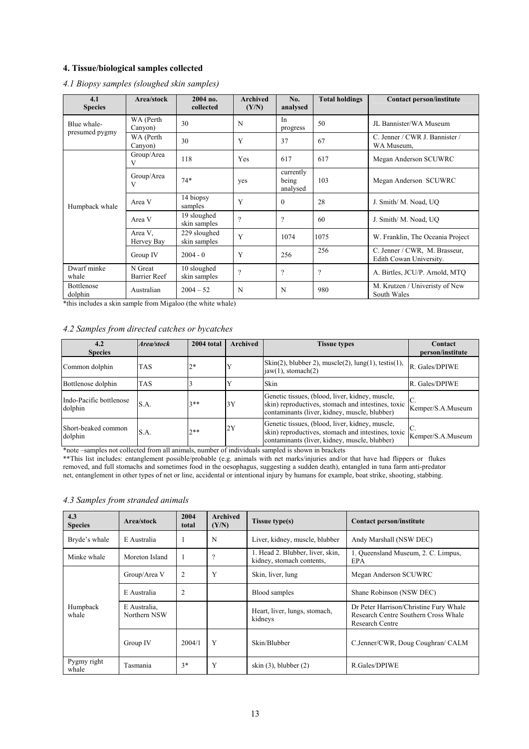# **4. Tissue/biological samples collected**

| 4.1<br><b>Species</b> | Area/stock              | 2004 no.<br>collected        | <b>Archived</b><br>(Y/N) | No.<br>analysed                | <b>Total holdings</b> | <b>Contact person/institute</b>                          |
|-----------------------|-------------------------|------------------------------|--------------------------|--------------------------------|-----------------------|----------------------------------------------------------|
| Blue whale-           | WA (Perth<br>Canyon)    | 30                           | N                        | In<br>progress                 | 50                    | JL Bannister/WA Museum                                   |
| presumed pygmy        | WA (Perth<br>Canyon)    | 30                           | Y                        | 37                             | 67                    | C. Jenner / CWR J. Bannister /<br>WA Museum.             |
|                       | Group/Area<br>v         | 118                          | Yes                      | 617                            | 617                   | Megan Anderson SCUWRC                                    |
|                       | Group/Area<br>V         | $74*$                        | yes                      | currently<br>being<br>analysed | 103                   | Megan Anderson SCUWRC                                    |
| Humpback whale        | Area V                  | 14 biopsy<br>samples         | Y                        | $\theta$                       | 28                    | J. Smith/ M. Noad, UO                                    |
|                       | Area V                  | 19 sloughed<br>skin samples  | $\gamma$                 | $\gamma$                       | 60                    | J. Smith/ M. Noad, UO                                    |
|                       | Area V.<br>Hervey Bay   | 229 sloughed<br>skin samples | Y                        | 1074                           | 1075                  | W. Franklin, The Oceania Project                         |
|                       | Group IV                | $2004 - 0$                   | Y                        | 256                            | 256                   | C. Jenner / CWR, M. Brasseur,<br>Edith Cowan University. |
| Dwarf minke<br>whale  | N Great<br>Barrier Reef | 10 sloughed<br>skin samples  | $\gamma$                 | $\gamma$                       | $\gamma$              | A. Birtles, JCU/P. Arnold, MTQ                           |
| Bottlenose<br>dolphin | Australian              | $2004 - 52$                  | N                        | N                              | 980                   | M. Krutzen / Univeristy of New<br>South Wales            |

### *4.1 Biopsy samples (sloughed skin samples)*

\*this includes a skin sample from Migaloo (the white whale)

# *4.2 Samples from directed catches or bycatches*

| 4.2<br><b>Species</b>              | Area/stock | 2004 total | <b>Archived</b> | <b>Tissue types</b>                                                                                                                                    | Contact<br>person/institute |
|------------------------------------|------------|------------|-----------------|--------------------------------------------------------------------------------------------------------------------------------------------------------|-----------------------------|
| Common dolphin                     | <b>TAS</b> | $2*$       |                 | $\text{Skin}(2)$ , blubber 2), muscle $(2)$ , lung $(1)$ , testis $(1)$ ,<br>$iaw(1)$ , stomach $(2)$                                                  | R. Gales/DPIWE              |
| Bottlenose dolphin                 | <b>TAS</b> |            |                 | Skin                                                                                                                                                   | R. Gales/DPIWE              |
| Indo-Pacific bottlenose<br>dolphin | S.A.       | $3**$      | 3Y              | Genetic tissues, (blood, liver, kidney, muscle,<br>skin) reproductives, stomach and intestines, toxic<br>contaminants (liver, kidney, muscle, blubber) | Kemper/S.A.Museum           |
| Short-beaked common<br>dolphin     | S.A.       | $7**$      | 2Y              | Genetic tissues, (blood, liver, kidney, muscle,<br>skin) reproductives, stomach and intestines, toxic<br>contaminants (liver, kidney, muscle, blubber) | Kemper/S.A.Museum           |

\*note –samples not collected from all animals, number of individuals sampled is shown in brackets

\*\*This list includes: entanglement possible/probable (e.g. animals with net marks/injuries and/or that have had flippers or flukes removed, and full stomachs and sometimes food in the oesophagus, suggesting a sudden death), entangled in tuna farm anti-predator net, entanglement in other types of net or line, accidental or intentional injury by humans for example, boat strike, shooting, stabbing.

# *4.3 Samples from stranded animals*

| 4.3<br><b>Species</b> | Area/stock                   | 2004<br>total | Archived<br>(Y/N)        | Tissue type(s)                                                | Contact person/institute                                                                          |  |
|-----------------------|------------------------------|---------------|--------------------------|---------------------------------------------------------------|---------------------------------------------------------------------------------------------------|--|
| Bryde's whale         | E Australia                  |               | N                        | Liver, kidney, muscle, blubber                                | Andy Marshall (NSW DEC)                                                                           |  |
| Minke whale           | Moreton Island               |               | $\overline{\mathcal{L}}$ | 1. Head 2. Blubber, liver, skin,<br>kidney, stomach contents, | 1. Queensland Museum, 2. C. Limpus,<br><b>EPA</b>                                                 |  |
|                       | Group/Area V                 | 2             | Y                        | Skin, liver, lung                                             | Megan Anderson SCUWRC                                                                             |  |
|                       | E Australia                  | 2             |                          | Blood samples                                                 | Shane Robinson (NSW DEC)                                                                          |  |
| Humpback<br>whale     | E Australia,<br>Northern NSW |               |                          | Heart, liver, lungs, stomach,<br>kidneys                      | Dr Peter Harrison/Christine Fury Whale<br>Research Centre Southern Cross Whale<br>Research Centre |  |
|                       | Group IV                     | 2004/1        | Y                        | Skin/Blubber                                                  | C.Jenner/CWR, Doug Coughran/ CALM                                                                 |  |
| Pygmy right<br>whale  | Tasmania                     | $3*$          | Y                        | skin $(3)$ , blubber $(2)$                                    | R. Gales/DPIWE                                                                                    |  |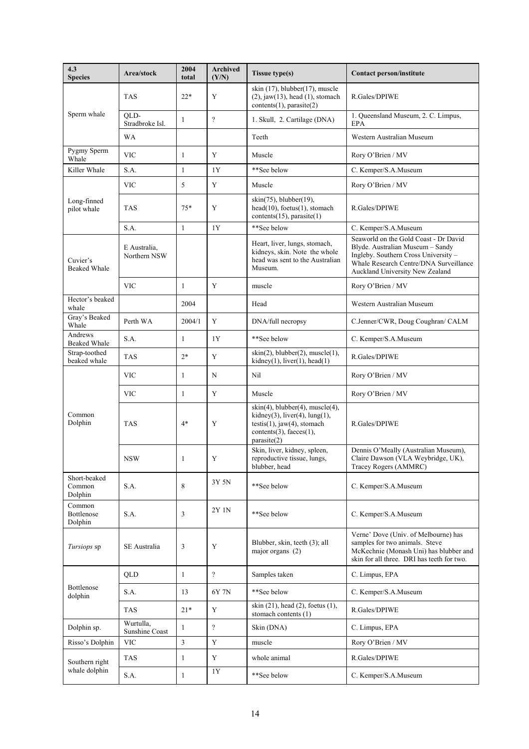| 4.3<br><b>Species</b>             | Area/stock                   | 2004<br>total | Archived<br>(Y/N)        | <b>Tissue type(s)</b>                                                                                                                                                  | Contact person/institute                                                                                                                                                                       |
|-----------------------------------|------------------------------|---------------|--------------------------|------------------------------------------------------------------------------------------------------------------------------------------------------------------------|------------------------------------------------------------------------------------------------------------------------------------------------------------------------------------------------|
|                                   | <b>TAS</b>                   | $22*$         | Y                        | skin $(17)$ , blubber $(17)$ , muscle<br>$(2)$ , jaw $(13)$ , head $(1)$ , stomach<br>contents(1), parasite(2)                                                         | R.Gales/DPIWE                                                                                                                                                                                  |
| Sperm whale                       | OLD-<br>Stradbroke Isl.      | 1             | $\gamma$                 | 1. Skull, 2. Cartilage (DNA)                                                                                                                                           | 1. Queensland Museum, 2. C. Limpus,<br><b>EPA</b>                                                                                                                                              |
|                                   | <b>WA</b>                    |               |                          | Teeth                                                                                                                                                                  | Western Australian Museum                                                                                                                                                                      |
| Pygmy Sperm<br>Whale              | <b>VIC</b>                   | 1             | Y                        | Muscle                                                                                                                                                                 | Rory O'Brien / MV                                                                                                                                                                              |
| Killer Whale                      | S.A.                         | $\mathbf{1}$  | 1Y                       | **See below                                                                                                                                                            | C. Kemper/S.A.Museum                                                                                                                                                                           |
|                                   | <b>VIC</b>                   | 5             | Y                        | Muscle                                                                                                                                                                 | Rory O'Brien / MV                                                                                                                                                                              |
| Long-finned<br>pilot whale        | <b>TAS</b>                   | $75*$         | Y                        | $skin(75)$ , blubber $(19)$ ,<br>$head(10)$ , foetus $(1)$ , stomach<br>contents $(15)$ , parasite $(1)$                                                               | R.Gales/DPIWE                                                                                                                                                                                  |
|                                   | S.A.                         | $\mathbf{1}$  | 1Y                       | **See below                                                                                                                                                            | C. Kemper/S.A.Museum                                                                                                                                                                           |
| Cuvier's<br><b>Beaked Whale</b>   | E Australia,<br>Northern NSW |               |                          | Heart, liver, lungs, stomach,<br>kidneys, skin. Note the whole<br>head was sent to the Australian<br>Museum.                                                           | Seaworld on the Gold Coast - Dr David<br>Blyde. Australian Museum - Sandy<br>Ingleby. Southern Cross University -<br>Whale Research Centre/DNA Surveillance<br>Auckland University New Zealand |
|                                   | <b>VIC</b>                   | 1             | Y                        | muscle                                                                                                                                                                 | Rory O'Brien / MV                                                                                                                                                                              |
| Hector's beaked<br>whale          |                              | 2004          |                          | Head                                                                                                                                                                   | Western Australian Museum                                                                                                                                                                      |
| Gray's Beaked<br>Whale            | Perth WA                     | 2004/1        | Y                        | DNA/full necropsy                                                                                                                                                      | C.Jenner/CWR, Doug Coughran/ CALM                                                                                                                                                              |
| Andrews<br><b>Beaked Whale</b>    | S.A.                         | 1             | 1Y                       | **See below                                                                                                                                                            | C. Kemper/S.A.Museum                                                                                                                                                                           |
| Strap-toothed<br>beaked whale     | <b>TAS</b>                   | $2*$          | Y                        | $skin(2)$ , blubber $(2)$ , muscle $(1)$ ,<br>$kidney(1)$ , liver $(1)$ , head $(1)$                                                                                   | R.Gales/DPIWE                                                                                                                                                                                  |
|                                   | VIC                          | 1             | N                        | Nil                                                                                                                                                                    | Rory O'Brien / MV                                                                                                                                                                              |
|                                   | VIC                          | 1             | Y                        | Muscle                                                                                                                                                                 | Rory O'Brien / MV                                                                                                                                                                              |
| Common<br>Dolphin                 | <b>TAS</b>                   | $4*$          | Y                        | $skin(4)$ , blubber $(4)$ , muscle $(4)$ ,<br>kidney $(3)$ , liver $(4)$ , lung $(1)$ ,<br>$testis(1)$ , jaw $(4)$ , stomach<br>contents(3), faeces(1),<br>parasite(2) | R. Gales/DPIWE                                                                                                                                                                                 |
|                                   | <b>NSW</b>                   | 1             | Y                        | Skin, liver, kidney, spleen,<br>reproductive tissue, lungs,<br>blubber, head                                                                                           | Dennis O'Meally (Australian Museum),<br>Claire Dawson (VLA Weybridge, UK),<br>Tracey Rogers (AMMRC)                                                                                            |
| Short-beaked<br>Common<br>Dolphin | S.A.                         | 8             | 3Y 5N                    | **See below                                                                                                                                                            | C. Kemper/S.A.Museum                                                                                                                                                                           |
| Common<br>Bottlenose<br>Dolphin   | S.A.                         | 3             | 2Y 1N                    | **See below                                                                                                                                                            | C. Kemper/S.A.Museum                                                                                                                                                                           |
| Tursiops sp                       | SE Australia                 | 3             | Y                        | Blubber, skin, teeth (3); all<br>major organs (2)                                                                                                                      | Verne' Dove (Univ. of Melbourne) has<br>samples for two animals. Steve<br>McKechnie (Monash Uni) has blubber and<br>skin for all three. DRI has teeth for two.                                 |
|                                   | <b>OLD</b>                   | $\mathbf{1}$  | $\overline{?}$           | Samples taken                                                                                                                                                          | C. Limpus, EPA                                                                                                                                                                                 |
| Bottlenose<br>dolphin             | S.A.                         | 13            | 6Y 7N                    | **See below                                                                                                                                                            | C. Kemper/S.A.Museum                                                                                                                                                                           |
|                                   | <b>TAS</b>                   | $21*$         | Y                        | skin (21), head (2), foetus (1),<br>stomach contents (1)                                                                                                               | R.Gales/DPIWE                                                                                                                                                                                  |
| Dolphin sp.                       | Wurtulla,<br>Sunshine Coast  | 1             | $\overline{\mathcal{L}}$ | Skin (DNA)                                                                                                                                                             | C. Limpus, EPA                                                                                                                                                                                 |
| Risso's Dolphin                   | <b>VIC</b>                   | 3             | Y                        | muscle                                                                                                                                                                 | Rory O'Brien / MV                                                                                                                                                                              |
| Southern right                    | <b>TAS</b>                   | 1             | Y                        | whole animal                                                                                                                                                           | R.Gales/DPIWE                                                                                                                                                                                  |
| whale dolphin                     | S.A.                         | $\mathbf{1}$  | 1Y                       | **See below                                                                                                                                                            | C. Kemper/S.A.Museum                                                                                                                                                                           |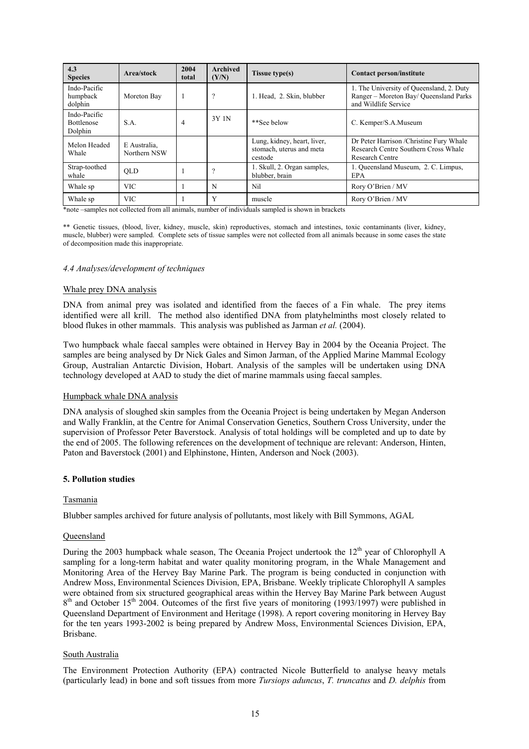| 4.3<br><b>Species</b>                        | Area/stock                   | 2004<br>total | <b>Archived</b><br>(Y/N) | <b>Tissue type(s)</b>                                              | Contact person/institute                                                                                   |
|----------------------------------------------|------------------------------|---------------|--------------------------|--------------------------------------------------------------------|------------------------------------------------------------------------------------------------------------|
| Indo-Pacific<br>humpback<br>dolphin          | Moreton Bay                  |               | $\gamma$                 | 1. Head, 2. Skin, blubber                                          | 1. The University of Queensland, 2. Duty<br>Ranger – Moreton Bay/ Queensland Parks<br>and Wildlife Service |
| Indo-Pacific<br><b>Bottlenose</b><br>Dolphin | S.A.                         | 4             | 3Y 1N                    | **See below                                                        | C. Kemper/S.A.Museum                                                                                       |
| Melon Headed<br>Whale                        | E Australia.<br>Northern NSW |               |                          | Lung, kidney, heart, liver,<br>stomach, uterus and meta<br>cestode | Dr Peter Harrison / Christine Fury Whale<br>Research Centre Southern Cross Whale<br><b>Research Centre</b> |
| Strap-toothed<br>whale                       | <b>OLD</b>                   |               | $\gamma$                 | 1. Skull, 2. Organ samples,<br>blubber, brain                      | 1. Queensland Museum, 2. C. Limpus,<br><b>EPA</b>                                                          |
| Whale sp                                     | <b>VIC</b>                   |               | N                        | Nil                                                                | Rory O'Brien / MV                                                                                          |
| Whale sp                                     | <b>VIC</b>                   |               | Y                        | muscle                                                             | Rory O'Brien / MV                                                                                          |

\*note –samples not collected from all animals, number of individuals sampled is shown in brackets

\*\* Genetic tissues, (blood, liver, kidney, muscle, skin) reproductives, stomach and intestines, toxic contaminants (liver, kidney, muscle, blubber) were sampled. Complete sets of tissue samples were not collected from all animals because in some cases the state of decomposition made this inappropriate.

### *4.4 Analyses/development of techniques*

#### Whale prey DNA analysis

DNA from animal prey was isolated and identified from the faeces of a Fin whale. The prey items identified were all krill. The method also identified DNA from platyhelminths most closely related to blood flukes in other mammals. This analysis was published as Jarman *et al.* (2004).

Two humpback whale faecal samples were obtained in Hervey Bay in 2004 by the Oceania Project. The samples are being analysed by Dr Nick Gales and Simon Jarman, of the Applied Marine Mammal Ecology Group, Australian Antarctic Division, Hobart. Analysis of the samples will be undertaken using DNA technology developed at AAD to study the diet of marine mammals using faecal samples.

### Humpback whale DNA analysis

DNA analysis of sloughed skin samples from the Oceania Project is being undertaken by Megan Anderson and Wally Franklin, at the Centre for Animal Conservation Genetics, Southern Cross University, under the supervision of Professor Peter Baverstock. Analysis of total holdings will be completed and up to date by the end of 2005. The following references on the development of technique are relevant: Anderson, Hinten, Paton and Baverstock (2001) and Elphinstone, Hinten, Anderson and Nock (2003).

#### **5. Pollution studies**

### Tasmania

Blubber samples archived for future analysis of pollutants, most likely with Bill Symmons, AGAL

#### Queensland

During the 2003 humpback whale season, The Oceania Project undertook the  $12<sup>th</sup>$  year of Chlorophyll A sampling for a long-term habitat and water quality monitoring program, in the Whale Management and Monitoring Area of the Hervey Bay Marine Park. The program is being conducted in conjunction with Andrew Moss, Environmental Sciences Division, EPA, Brisbane. Weekly triplicate Chlorophyll A samples were obtained from six structured geographical areas within the Hervey Bay Marine Park between August  $8<sup>th</sup>$  and October 15<sup>th</sup> 2004. Outcomes of the first five years of monitoring (1993/1997) were published in Queensland Department of Environment and Heritage (1998). A report covering monitoring in Hervey Bay for the ten years 1993-2002 is being prepared by Andrew Moss, Environmental Sciences Division, EPA, Brisbane.

#### South Australia

The Environment Protection Authority (EPA) contracted Nicole Butterfield to analyse heavy metals (particularly lead) in bone and soft tissues from more *Tursiops aduncus*, *T. truncatus* and *D. delphis* from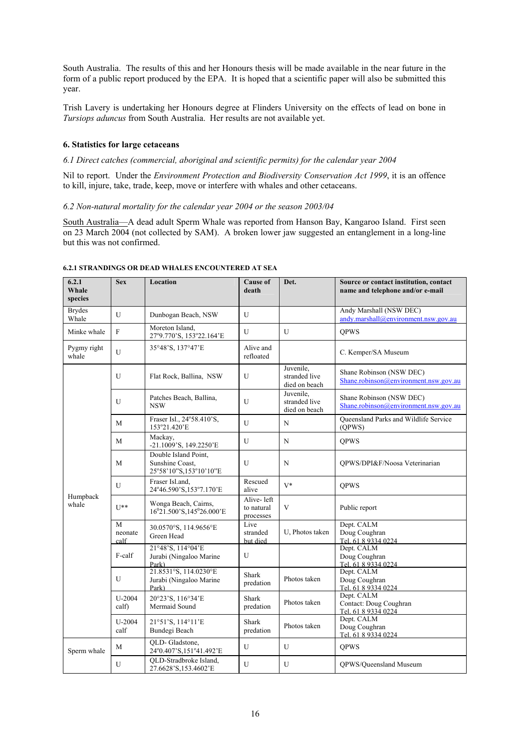South Australia. The results of this and her Honours thesis will be made available in the near future in the form of a public report produced by the EPA. It is hoped that a scientific paper will also be submitted this year.

Trish Lavery is undertaking her Honours degree at Flinders University on the effects of lead on bone in *Tursiops aduncus* from South Australia. Her results are not available yet.

#### **6. Statistics for large cetaceans**

### *6.1 Direct catches (commercial, aboriginal and scientific permits) for the calendar year 2004*

Nil to report. Under the *Environment Protection and Biodiversity Conservation Act 1999*, it is an offence to kill, injure, take, trade, keep, move or interfere with whales and other cetaceans.

*6.2 Non-natural mortality for the calendar year 2004 or the season 2003/04* 

South Australia—A dead adult Sperm Whale was reported from Hanson Bay, Kangaroo Island. First seen on 23 March 2004 (not collected by SAM). A broken lower jaw suggested an entanglement in a long-line but this was not confirmed.

| 6.2.1<br>Whale<br>species | <b>Sex</b>           | Location                                                          | <b>Cause of</b><br>death              | Det.                                        | Source or contact institution, contact<br>name and telephone and/or e-mail |
|---------------------------|----------------------|-------------------------------------------------------------------|---------------------------------------|---------------------------------------------|----------------------------------------------------------------------------|
| <b>Brydes</b><br>Whale    | $\mathbf{U}$         | Dunbogan Beach, NSW                                               | U                                     |                                             | Andy Marshall (NSW DEC)<br>andy.marshall@environment.nsw.gov.au            |
| Minke whale               | F                    | Moreton Island,<br>27°9.770'S, 153°22.164'E                       | U                                     | U                                           | <b>QPWS</b>                                                                |
| Pygmy right<br>whale      | $\mathbf{U}$         | 35°48'S, 137°47'E                                                 | Alive and<br>refloated                |                                             | C. Kemper/SA Museum                                                        |
|                           | U                    | Flat Rock, Ballina, NSW                                           | U                                     | Juvenile,<br>stranded live<br>died on beach | Shane Robinson (NSW DEC)<br>Shane.robinson@environment.nsw.gov.au          |
|                           | U                    | Patches Beach, Ballina,<br><b>NSW</b>                             | U                                     | Juvenile.<br>stranded live<br>died on beach | Shane Robinson (NSW DEC)<br>Shane.robinson@environment.nsw.gov.au          |
|                           | M                    | Fraser Isl., 24°58.410'S,<br>153°21.420'E                         | U                                     | N                                           | Queensland Parks and Wildlife Service<br>(QPWS)                            |
|                           | M                    | Mackay.<br>-21.1009'S, 149.2250'E                                 | U                                     | N                                           | <b>QPWS</b>                                                                |
|                           | M                    | Double Island Point,<br>Sunshine Coast,<br>25°58'10"S,153°10'10"E | U                                     | N                                           | OPWS/DPI&F/Noosa Veterinarian                                              |
|                           | U                    | Fraser Isl.and,<br>24°46.590'S,153°7.170'E                        | Rescued<br>alive                      | $V^*$                                       | <b>OPWS</b>                                                                |
| Humpback<br>whale         | $II**$               | Wonga Beach, Cairns,<br>16°21.500'S, 145°26.000'E                 | Alive-left<br>to natural<br>processes | V                                           | Public report                                                              |
|                           | M<br>neonate<br>calf | 30.0570°S, 114.9656°E<br>Green Head                               | Live<br>stranded<br>but died          | U. Photos taken                             | Dept. CALM<br>Doug Coughran<br>Tel. 61 8 9334 0224                         |
|                           | F-calf               | 21°48'S, 114°04'E<br>Jurabi (Ningaloo Marine<br>Park)             | U                                     |                                             | Dept. CALM<br>Doug Coughran<br>Tel. 61 8 9334 0224                         |
|                           | U                    | 21.8531°S, 114.0230°E<br>Jurabi (Ningaloo Marine<br>Park)         | Shark<br>predation                    | Photos taken                                | Dept. CALM<br>Doug Coughran<br>Tel. 61 8 9334 0224                         |
|                           | U-2004<br>calf)      | 20°23'S, 116°34'E<br>Mermaid Sound                                | Shark<br>predation                    | Photos taken                                | Dept. CALM<br>Contact: Doug Coughran<br>Tel. 61 8 9334 0224                |
|                           | $U-2004$<br>calf     | 21°51'S, 114°11'E<br>Bundegi Beach                                | Shark<br>predation                    | Photos taken                                | Dept. CALM<br>Doug Coughran<br>Tel. 61 8 9334 0224                         |
| Sperm whale               | M                    | OLD-Gladstone,<br>24°0.407'S,151°41.492'E                         | U                                     | U                                           | <b>QPWS</b>                                                                |
|                           | U                    | QLD-Stradbroke Island,<br>27.6628'S, 153.4602'E                   | U                                     | U                                           | QPWS/Queensland Museum                                                     |

### **6.2.1 STRANDINGS OR DEAD WHALES ENCOUNTERED AT SEA**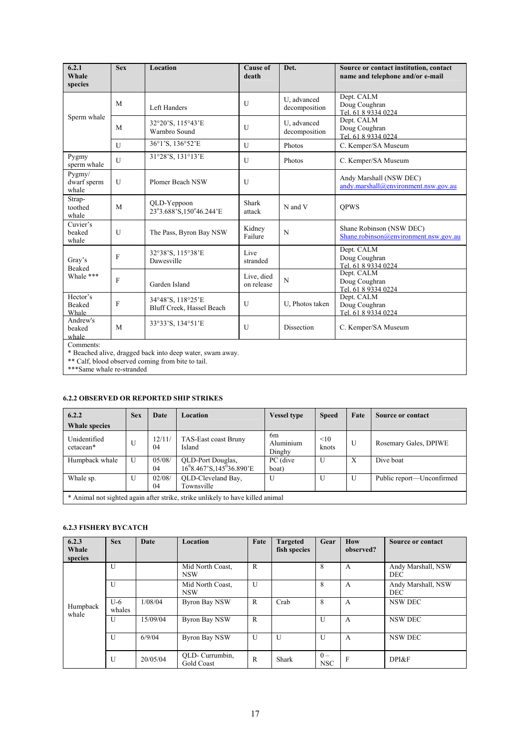| 6.2.1<br>Whale<br>species      | <b>Sex</b>   | Location                                       | <b>Cause of</b><br>death | Det.                         | Source or contact institution, contact<br>name and telephone and/or e-mail |
|--------------------------------|--------------|------------------------------------------------|--------------------------|------------------------------|----------------------------------------------------------------------------|
|                                | M            | Left Handers                                   | U                        | U, advanced<br>decomposition | Dept. CALM<br>Doug Coughran<br>Tel. 61 8 9334 0224                         |
| Sperm whale                    | M            | 32°20'S, 115°43'E<br>Warnbro Sound             | U                        | U, advanced<br>decomposition | Dept. CALM<br>Doug Coughran<br>Tel. 61 8 9334 0224                         |
|                                | $\mathbf{U}$ | 36°1'S, 136°52'E                               | U                        | Photos                       | C. Kemper/SA Museum                                                        |
| Pygmy<br>sperm whale           | $\mathbf{U}$ | 31°28'S, 131°13'E                              | U                        | Photos                       | C. Kemper/SA Museum                                                        |
| Pygmy/<br>dwarf sperm<br>whale | $\mathbf{U}$ | Plomer Beach NSW                               | U                        |                              | Andy Marshall (NSW DEC)<br>andy.marshall@environment.nsw.gov.au            |
| Strap-<br>toothed<br>whale     | M            | QLD-Yeppoon<br>23°3.688'S,150°46.244'E         | Shark<br>attack          | N and V                      | <b>OPWS</b>                                                                |
| Cuvier's<br>beaked<br>whale    | U            | The Pass, Byron Bay NSW                        | Kidney<br>Failure        | N                            | Shane Robinson (NSW DEC)<br>Shane.robinson@environment.nsw.gov.au          |
| Gray's<br>Beaked               | F            | 32°38'S, 115°38'E<br>Dawesville                | Live<br>stranded         |                              | Dept. CALM<br>Doug Coughran<br>Tel. 61 8 9334 0224                         |
| Whale ***                      | F            | Garden Island                                  | Live, died<br>on release | N                            | Dept. CALM<br>Doug Coughran<br>Tel. 61 8 9334 0224                         |
| Hector's<br>Beaked<br>Whale    | F            | 34°48'S, 118°25'E<br>Bluff Creek, Hassel Beach | U                        | U. Photos taken              | Dept. CALM<br>Doug Coughran<br>Tel. 61 8 9334 0224                         |
| Andrew's<br>beaked<br>whale    | M            | 33°33'S, 134°51'E                              | U                        | Dissection                   | C. Kemper/SA Museum                                                        |
| $Common$ ente                  |              |                                                |                          |                              |                                                                            |

Comments:

\* Beached alive, dragged back into deep water, swam away.

\*\* Calf, blood observed coming from bite to tail.

\*\*\*Same whale re-stranded

## **6.2.2 OBSERVED OR REPORTED SHIP STRIKES**

| 6.2.2                     | <b>Sex</b>   | Date         | <b>Location</b>                                                                | <b>Vessel type</b>                    | <b>Speed</b> | Fate | Source or contact         |
|---------------------------|--------------|--------------|--------------------------------------------------------------------------------|---------------------------------------|--------------|------|---------------------------|
| <b>Whale species</b>      |              |              |                                                                                |                                       |              |      |                           |
| Unidentified<br>cetacean* | U            | 12/11/<br>04 | TAS-East coast Bruny<br>Island                                                 | 6 <sub>m</sub><br>Aluminium<br>Dinghy | <10<br>knots | U    | Rosemary Gales, DPIWE     |
| Humpback whale            | U            | 05/08/<br>04 | OLD-Port Douglas,<br>$16^{0}8.467$ 'S, $145^{0}36.890$ 'E                      | PC (dive<br>boat)                     | U            | X    | Dive boat                 |
| Whale sp.                 | $\mathbf{U}$ | 02/08/<br>04 | OLD-Cleveland Bay,<br>Townsville                                               | $\mathbf{U}$                          | U            | U    | Public report—Unconfirmed |
|                           |              |              | * Animal not sighted again after strike, strike unlikely to have killed animal |                                       |              |      |                           |

#### **6.2.3 FISHERY BYCATCH**

| 6.2.3<br>Whale<br>species | <b>Sex</b>      | <b>Date</b> | Location                       | Fate         | <b>Targeted</b><br>fish species | Gear                | How<br>observed? | <b>Source or contact</b>  |
|---------------------------|-----------------|-------------|--------------------------------|--------------|---------------------------------|---------------------|------------------|---------------------------|
| Humpback<br>whale         | $\mathbf{U}$    |             | Mid North Coast,<br><b>NSW</b> | R            |                                 | 8                   | A                | Andy Marshall, NSW<br>DEC |
|                           | U               |             | Mid North Coast,<br><b>NSW</b> | U            |                                 | 8                   | A                | Andy Marshall, NSW<br>DEC |
|                           | $U-6$<br>whales | 1/08/04     | <b>Byron Bay NSW</b>           | $\mathbb{R}$ | Crab                            | 8                   | A                | NSW DEC                   |
|                           | U               | 15/09/04    | Byron Bay NSW                  | $\mathbb{R}$ |                                 | U                   | A                | NSW DEC                   |
|                           | $\mathbf{U}$    | 6/9/04      | <b>Byron Bay NSW</b>           | U            | U                               | U                   | A                | NSW DEC                   |
|                           | U               | 20/05/04    | QLD- Currumbin,<br>Gold Coast  | $\mathbb{R}$ | Shark                           | $0 -$<br><b>NSC</b> | $\mathbf{F}$     | DPI&F                     |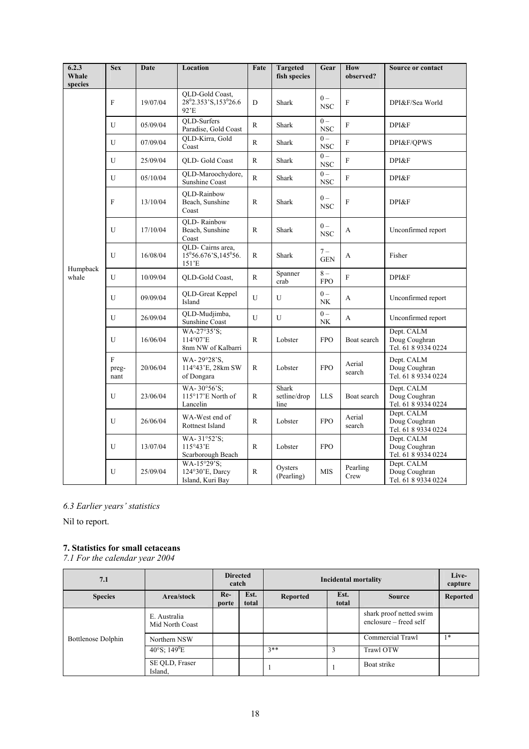| 6.2.3<br>Whale<br>species | <b>Sex</b>                   | Date     | Location                                                                          | Fate         | <b>Targeted</b><br>fish species | Gear                       | How<br>observed? | Source or contact                                  |
|---------------------------|------------------------------|----------|-----------------------------------------------------------------------------------|--------------|---------------------------------|----------------------------|------------------|----------------------------------------------------|
|                           | F                            | 19/07/04 | <b>OLD-Gold Coast</b> ,<br>28 <sup>0</sup> 2.353'S, 153 <sup>0</sup> 26.6<br>92'E | D            | <b>Shark</b>                    | $0 -$<br><b>NSC</b>        | $\mathbf F$      | DPI&F/Sea World                                    |
|                           | U                            | 05/09/04 | <b>OLD-Surfers</b><br>Paradise, Gold Coast                                        | $\mathbb{R}$ | Shark                           | $0 -$<br><b>NSC</b>        | $\mathbf F$      | DPI&F                                              |
|                           | U                            | 07/09/04 | QLD-Kirra, Gold<br>Coast                                                          | $\mathbb{R}$ | Shark                           | $0 -$<br>$_{\mathrm{NSC}}$ | $\mathbf{F}$     | DPI&F/OPWS                                         |
|                           | U                            | 25/09/04 | <b>OLD-Gold Coast</b>                                                             | $\mathbb{R}$ | Shark                           | $0 -$<br>$_{\mathrm{NSC}}$ | $\mathbf{F}$     | DPI&F                                              |
|                           | U                            | 05/10/04 | QLD-Maroochydore,<br>Sunshine Coast                                               | $\mathbb{R}$ | <b>Shark</b>                    | $0 -$<br>$_{\rm NSC}$      | $\mathbf F$      | DPI&F                                              |
|                           | $\mathbf F$                  | 13/10/04 | <b>OLD-Rainbow</b><br>Beach, Sunshine<br>Coast                                    | $\mathbb{R}$ | Shark                           | $0 -$<br><b>NSC</b>        | $\mathbf F$      | DPI&F                                              |
|                           | U                            | 17/10/04 | <b>OLD-Rainbow</b><br>Beach, Sunshine<br>Coast                                    | $\mathbf R$  | Shark                           | $0 -$<br><b>NSC</b>        | A                | Unconfirmed report                                 |
|                           | U                            | 16/08/04 | QLD- Cairns area,<br>$15^{\circ}56.676$ 'S, $145^{\circ}56$ .<br>151'E            | R            | Shark                           | $7 -$<br><b>GEN</b>        | A                | Fisher                                             |
| Humpback<br>whale         | U                            | 10/09/04 | QLD-Gold Coast,                                                                   | $\mathbb{R}$ | Spanner<br>crab                 | $8-$<br><b>FPO</b>         | $\mathbf F$      | DPI&F                                              |
|                           | U                            | 09/09/04 | QLD-Great Keppel<br>Island                                                        | U            | U                               | $0 -$<br>NK                | A                | Unconfirmed report                                 |
|                           | U                            | 26/09/04 | QLD-Mudjimba,<br>Sunshine Coast                                                   | U            | U                               | $0 -$<br>NK                | A                | Unconfirmed report                                 |
|                           | U                            | 16/06/04 | WA-27°35'S;<br>114°07'E<br>8nm NW of Kalbarri                                     | $\mathbb{R}$ | Lobster                         | <b>FPO</b>                 | Boat search      | Dept. CALM<br>Doug Coughran<br>Tel. 61 8 9334 0224 |
|                           | $\mathbf F$<br>preg-<br>nant | 20/06/04 | WA-29°28'S.<br>114°43'E, 28km SW<br>of Dongara                                    | R            | Lobster                         | <b>FPO</b>                 | Aerial<br>search | Dept. CALM<br>Doug Coughran<br>Tel. 61 8 9334 0224 |
|                           | U                            | 23/06/04 | WA-30°56'S;<br>115°17'E North of<br>Lancelin                                      | R            | Shark<br>setline/drop<br>line   | <b>LLS</b>                 | Boat search      | Dept. CALM<br>Doug Coughran<br>Tel. 61 8 9334 0224 |
|                           | U                            | 26/06/04 | WA-West end of<br>Rottnest Island                                                 | $\mathsf{R}$ | Lobster                         | <b>FPO</b>                 | Aerial<br>search | Dept. CALM<br>Doug Coughran<br>Tel. 61 8 9334 0224 |
|                           | U                            | 13/07/04 | WA-31°52'S:<br>115°43'E<br>Scarborough Beach                                      | $\mathbb{R}$ | Lobster                         | <b>FPO</b>                 |                  | Dept. CALM<br>Doug Coughran<br>Tel. 61 8 9334 0224 |
|                           | U                            | 25/09/04 | WA-15°29'S:<br>124°30'E, Darcy<br>Island, Kuri Bay                                | R            | Oysters<br>(Pearling)           | <b>MIS</b>                 | Pearling<br>Crew | Dept. CALM<br>Doug Coughran<br>Tel. 61 8 9334 0224 |

*6.3 Earlier years' statistics* 

Nil to report.

# **7. Statistics for small cetaceans**

*7.1 For the calendar year 2004* 

| 7.1                       |                                 | <b>Directed</b><br>catch |               | <b>Incidental mortality</b> |               |                                                   | Live-<br>capture |
|---------------------------|---------------------------------|--------------------------|---------------|-----------------------------|---------------|---------------------------------------------------|------------------|
| <b>Species</b>            | Area/stock                      | $Re-$<br>porte           | Est.<br>total | <b>Reported</b>             | Est.<br>total | <b>Source</b>                                     | <b>Reported</b>  |
|                           | E. Australia<br>Mid North Coast |                          |               |                             |               | shark proof netted swim<br>enclosure – freed self |                  |
| <b>Bottlenose Dolphin</b> | Northern NSW                    |                          |               |                             |               | Commercial Trawl                                  | $1*$             |
|                           | $40^{\circ}$ S; $149^{\circ}$ E |                          |               | $3**$                       | 3             | <b>Trawl OTW</b>                                  |                  |
|                           | SE QLD, Fraser<br>Island,       |                          |               |                             |               | Boat strike                                       |                  |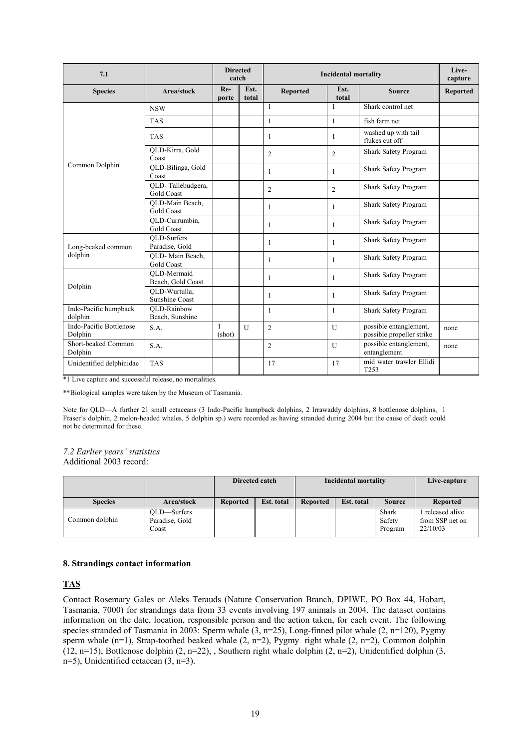| 7.1                                |                                        | <b>Directed</b><br>catch |               |                 | <b>Incidental mortality</b> |                                                     | Live-<br>capture |
|------------------------------------|----------------------------------------|--------------------------|---------------|-----------------|-----------------------------|-----------------------------------------------------|------------------|
| <b>Species</b>                     | Area/stock                             | $Re-$<br>porte           | Est.<br>total | <b>Reported</b> | Est.<br>total               | <b>Source</b>                                       | <b>Reported</b>  |
|                                    | <b>NSW</b>                             |                          |               | $\mathbf{1}$    | $\mathbf{1}$                | Shark control net                                   |                  |
|                                    | <b>TAS</b>                             |                          |               | $\mathbf{1}$    | $\mathbf{1}$                | fish farm net                                       |                  |
| Common Dolphin                     | <b>TAS</b>                             |                          |               | 1               | 1                           | washed up with tail<br>flukes cut off               |                  |
|                                    | QLD-Kirra, Gold<br>Coast               |                          |               | $\overline{c}$  | $\overline{c}$              | Shark Safety Program                                |                  |
|                                    | QLD-Bilinga, Gold<br>Coast             |                          |               | 1               | $\mathbf{1}$                | Shark Safety Program                                |                  |
|                                    | QLD-Tallebudgera,<br><b>Gold Coast</b> |                          |               | $\overline{c}$  | 2                           | Shark Safety Program                                |                  |
|                                    | QLD-Main Beach,<br>Gold Coast          |                          |               | 1               | $\mathbf{1}$                | Shark Safety Program                                |                  |
|                                    | QLD-Currumbin,<br><b>Gold Coast</b>    |                          |               | 1               | -1                          | Shark Safety Program                                |                  |
| Long-beaked common                 | OLD-Surfers<br>Paradise, Gold          |                          |               | 1               | $\mathbf{1}$                | Shark Safety Program                                |                  |
| dolphin                            | OLD-Main Beach,<br><b>Gold Coast</b>   |                          |               | 1               | -1                          | Shark Safety Program                                |                  |
| Dolphin                            | OLD-Mermaid<br>Beach, Gold Coast       |                          |               | 1               | $\mathbf{1}$                | Shark Safety Program                                |                  |
|                                    | OLD-Wurtulla.<br><b>Sunshine Coast</b> |                          |               | 1               | 1                           | Shark Safety Program                                |                  |
| Indo-Pacific humpback<br>dolphin   | OLD-Rainbow<br>Beach, Sunshine         |                          |               | 1               | $\mathbf{1}$                | Shark Safety Program                                |                  |
| Indo-Pacific Bottlenose<br>Dolphin | S.A.                                   | 1<br>(shot)              | $\mathbf{U}$  | $\overline{c}$  | $\mathbf{U}$                | possible entanglement,<br>possible propeller strike | none             |
| Short-beaked Common<br>Dolphin     | S.A.                                   |                          |               | $\overline{2}$  | U                           | possible entanglement,<br>entanglement              | none             |
| Unidentified delphinidae           | <b>TAS</b>                             |                          |               | 17              | 17                          | mid water trawler Ellidi<br>T <sub>253</sub>        |                  |

\*1 Live capture and successful release, no mortalities.

\*\*Biological samples were taken by the Museum of Tasmania.

Note for QLD—A further 21 small cetaceans (3 Indo-Pacific humpback dolphins, 2 Irrawaddy dolphins, 8 bottlenose dolphins, 1 Fraser's dolphin, 2 melon-headed whales, 5 dolphin sp.) were recorded as having stranded during 2004 but the cause of death could not be determined for these.

#### *7.2 Earlier years' statistics*  Additional 2003 record:

|                |                                        | Directed catch  |            |                 | <b>Incidental mortality</b> | Live-capture               |                                               |
|----------------|----------------------------------------|-----------------|------------|-----------------|-----------------------------|----------------------------|-----------------------------------------------|
| <b>Species</b> | Area/stock                             | <b>Reported</b> | Est. total | <b>Reported</b> | Est. total                  | <b>Source</b>              | <b>Reported</b>                               |
| Common dolphin | OLD-Surfers<br>Paradise, Gold<br>Coast |                 |            |                 |                             | Shark<br>Safety<br>Program | released alive<br>from SSP net on<br>22/10/03 |

### **8. Strandings contact information**

### **TAS**

Contact Rosemary Gales or Aleks Terauds (Nature Conservation Branch, DPIWE, PO Box 44, Hobart, Tasmania, 7000) for strandings data from 33 events involving 197 animals in 2004. The dataset contains information on the date, location, responsible person and the action taken, for each event. The following species stranded of Tasmania in 2003: Sperm whale (3, n=25), Long-finned pilot whale (2, n=120), Pygmy sperm whale  $(n=1)$ , Strap-toothed beaked whale  $(2, n=2)$ , Pygmy right whale  $(2, n=2)$ , Common dolphin (12, n=15), Bottlenose dolphin  $(2, n=22)$ , Southern right whale dolphin  $(2, n=2)$ , Unidentified dolphin  $(3, n=21)$ n=5), Unidentified cetacean (3, n=3).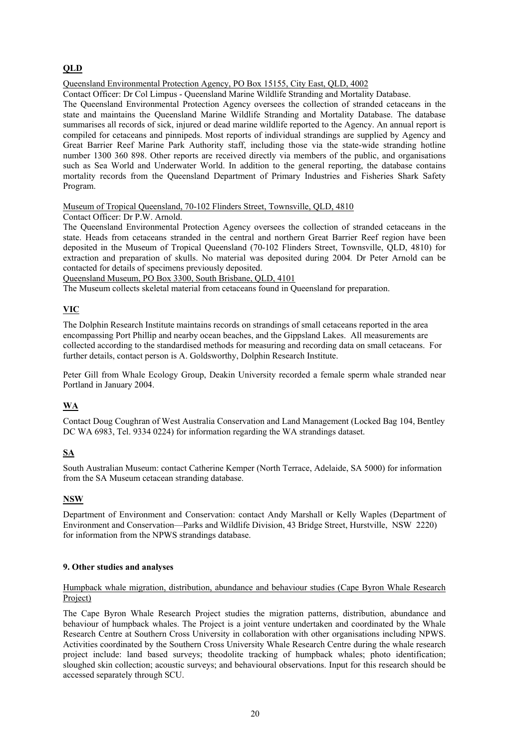# **QLD**

Queensland Environmental Protection Agency, PO Box 15155, City East, QLD, 4002

Contact Officer: Dr Col Limpus - Queensland Marine Wildlife Stranding and Mortality Database.

The Queensland Environmental Protection Agency oversees the collection of stranded cetaceans in the state and maintains the Queensland Marine Wildlife Stranding and Mortality Database. The database summarises all records of sick, injured or dead marine wildlife reported to the Agency. An annual report is compiled for cetaceans and pinnipeds. Most reports of individual strandings are supplied by Agency and Great Barrier Reef Marine Park Authority staff, including those via the state-wide stranding hotline number 1300 360 898. Other reports are received directly via members of the public, and organisations such as Sea World and Underwater World. In addition to the general reporting, the database contains mortality records from the Queensland Department of Primary Industries and Fisheries Shark Safety Program.

Museum of Tropical Queensland, 70-102 Flinders Street, Townsville, QLD, 4810

Contact Officer: Dr P.W. Arnold.

The Queensland Environmental Protection Agency oversees the collection of stranded cetaceans in the state. Heads from cetaceans stranded in the central and northern Great Barrier Reef region have been deposited in the Museum of Tropical Queensland (70-102 Flinders Street, Townsville, QLD, 4810) for extraction and preparation of skulls. No material was deposited during 2004*.* Dr Peter Arnold can be contacted for details of specimens previously deposited.

Queensland Museum, PO Box 3300, South Brisbane, QLD, 4101

The Museum collects skeletal material from cetaceans found in Queensland for preparation.

# **VIC**

The Dolphin Research Institute maintains records on strandings of small cetaceans reported in the area encompassing Port Phillip and nearby ocean beaches, and the Gippsland Lakes. All measurements are collected according to the standardised methods for measuring and recording data on small cetaceans. For further details, contact person is A. Goldsworthy, Dolphin Research Institute.

Peter Gill from Whale Ecology Group, Deakin University recorded a female sperm whale stranded near Portland in January 2004.

# **WA**

Contact Doug Coughran of West Australia Conservation and Land Management (Locked Bag 104, Bentley DC WA 6983, Tel. 9334 0224) for information regarding the WA strandings dataset.

# **SA**

South Australian Museum: contact Catherine Kemper (North Terrace, Adelaide, SA 5000) for information from the SA Museum cetacean stranding database.

# **NSW**

Department of Environment and Conservation: contact Andy Marshall or Kelly Waples (Department of Environment and Conservation—Parks and Wildlife Division, 43 Bridge Street, Hurstville, NSW 2220) for information from the NPWS strandings database.

### **9. Other studies and analyses**

### Humpback whale migration, distribution, abundance and behaviour studies (Cape Byron Whale Research Project)

The Cape Byron Whale Research Project studies the migration patterns, distribution, abundance and behaviour of humpback whales. The Project is a joint venture undertaken and coordinated by the Whale Research Centre at Southern Cross University in collaboration with other organisations including NPWS. Activities coordinated by the Southern Cross University Whale Research Centre during the whale research project include: land based surveys; theodolite tracking of humpback whales; photo identification; sloughed skin collection; acoustic surveys; and behavioural observations. Input for this research should be accessed separately through SCU.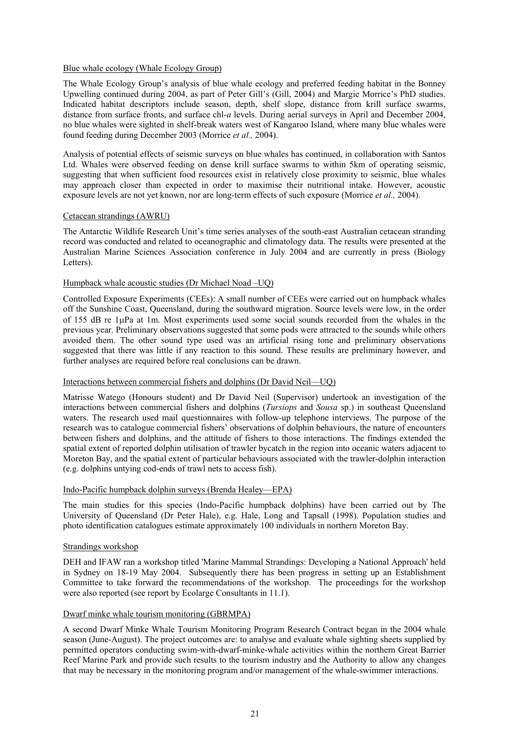### Blue whale ecology (Whale Ecology Group)

The Whale Ecology Group's analysis of blue whale ecology and preferred feeding habitat in the Bonney Upwelling continued during 2004, as part of Peter Gill's (Gill, 2004) and Margie Morrice's PhD studies. Indicated habitat descriptors include season, depth, shelf slope, distance from krill surface swarms, distance from surface fronts, and surface chl-*a* levels. During aerial surveys in April and December 2004, no blue whales were sighted in shelf-break waters west of Kangaroo Island, where many blue whales were found feeding during December 2003 (Morrice *et al.,* 2004).

Analysis of potential effects of seismic surveys on blue whales has continued, in collaboration with Santos Ltd. Whales were observed feeding on dense krill surface swarms to within 5km of operating seismic, suggesting that when sufficient food resources exist in relatively close proximity to seismic, blue whales may approach closer than expected in order to maximise their nutritional intake. However, acoustic exposure levels are not yet known, nor are long-term effects of such exposure (Morrice *et al.,* 2004).

### Cetacean strandings (AWRU)

The Antarctic Wildlife Research Unit's time series analyses of the south-east Australian cetacean stranding record was conducted and related to oceanographic and climatology data. The results were presented at the Australian Marine Sciences Association conference in July 2004 and are currently in press (Biology Letters).

### Humpback whale acoustic studies (Dr Michael Noad –UQ)

Controlled Exposure Experiments (CEEs): A small number of CEEs were carried out on humpback whales off the Sunshine Coast, Queensland, during the southward migration. Source levels were low, in the order of 155 dB re 1µPa at 1m. Most experiments used some social sounds recorded from the whales in the previous year. Preliminary observations suggested that some pods were attracted to the sounds while others avoided them. The other sound type used was an artificial rising tone and preliminary observations suggested that there was little if any reaction to this sound. These results are preliminary however, and further analyses are required before real conclusions can be drawn.

### Interactions between commercial fishers and dolphins (Dr David Neil—UQ)

Matrisse Watego (Honours student) and Dr David Neil (Supervisor) undertook an investigation of the interactions between commercial fishers and dolphins (*Tursiops* and *Sousa* sp.) in southeast Queensland waters. The research used mail questionnaires with follow-up telephone interviews. The purpose of the research was to catalogue commercial fishers' observations of dolphin behaviours, the nature of encounters between fishers and dolphins, and the attitude of fishers to those interactions. The findings extended the spatial extent of reported dolphin utilisation of trawler bycatch in the region into oceanic waters adjacent to Moreton Bay, and the spatial extent of particular behaviours associated with the trawler-dolphin interaction (e.g. dolphins untying cod-ends of trawl nets to access fish).

### Indo-Pacific humpback dolphin surveys (Brenda Healey—EPA)

The main studies for this species (Indo-Pacific humpback dolphins) have been carried out by The University of Queensland (Dr Peter Hale), e.g. Hale, Long and Tapsall (1998). Population studies and photo identification catalogues estimate approximately 100 individuals in northern Moreton Bay.

### Strandings workshop

DEH and IFAW ran a workshop titled 'Marine Mammal Strandings: Developing a National Approach' held in Sydney on 18-19 May 2004. Subsequently there has been progress in setting up an Establishment Committee to take forward the recommendations of the workshop. The proceedings for the workshop were also reported (see report by Ecolarge Consultants in 11.1).

### Dwarf minke whale tourism monitoring (GBRMPA)

A second Dwarf Minke Whale Tourism Monitoring Program Research Contract began in the 2004 whale season (June-August). The project outcomes are: to analyse and evaluate whale sighting sheets supplied by permitted operators conducting swim-with-dwarf-minke-whale activities within the northern Great Barrier Reef Marine Park and provide such results to the tourism industry and the Authority to allow any changes that may be necessary in the monitoring program and/or management of the whale-swimmer interactions.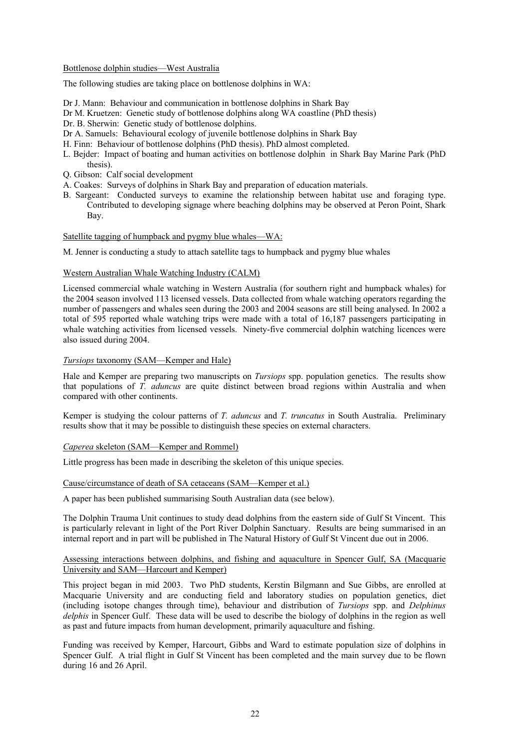### Bottlenose dolphin studies—West Australia

The following studies are taking place on bottlenose dolphins in WA:

- Dr J. Mann: Behaviour and communication in bottlenose dolphins in Shark Bay
- Dr M. Kruetzen: Genetic study of bottlenose dolphins along WA coastline (PhD thesis)
- Dr. B. Sherwin: Genetic study of bottlenose dolphins.
- Dr A. Samuels: Behavioural ecology of juvenile bottlenose dolphins in Shark Bay
- H. Finn: Behaviour of bottlenose dolphins (PhD thesis). PhD almost completed.
- L. Bejder: Impact of boating and human activities on bottlenose dolphin in Shark Bay Marine Park (PhD thesis).
- Q. Gibson: Calf social development
- A. Coakes: Surveys of dolphins in Shark Bay and preparation of education materials.
- B. Sargeant: Conducted surveys to examine the relationship between habitat use and foraging type. Contributed to developing signage where beaching dolphins may be observed at Peron Point, Shark Bay.

### Satellite tagging of humpback and pygmy blue whales—WA:

M. Jenner is conducting a study to attach satellite tags to humpback and pygmy blue whales

### Western Australian Whale Watching Industry (CALM)

Licensed commercial whale watching in Western Australia (for southern right and humpback whales) for the 2004 season involved 113 licensed vessels. Data collected from whale watching operators regarding the number of passengers and whales seen during the 2003 and 2004 seasons are still being analysed. In 2002 a total of 595 reported whale watching trips were made with a total of 16,187 passengers participating in whale watching activities from licensed vessels. Ninety-five commercial dolphin watching licences were also issued during 2004.

### *Tursiops* taxonomy (SAM—Kemper and Hale)

Hale and Kemper are preparing two manuscripts on *Tursiops* spp. population genetics. The results show that populations of *T. aduncus* are quite distinct between broad regions within Australia and when compared with other continents.

Kemper is studying the colour patterns of *T. aduncus* and *T. truncatus* in South Australia. Preliminary results show that it may be possible to distinguish these species on external characters.

#### *Caperea* skeleton (SAM—Kemper and Rommel)

Little progress has been made in describing the skeleton of this unique species.

### Cause/circumstance of death of SA cetaceans (SAM—Kemper et al.)

A paper has been published summarising South Australian data (see below).

The Dolphin Trauma Unit continues to study dead dolphins from the eastern side of Gulf St Vincent. This is particularly relevant in light of the Port River Dolphin Sanctuary. Results are being summarised in an internal report and in part will be published in The Natural History of Gulf St Vincent due out in 2006.

### Assessing interactions between dolphins, and fishing and aquaculture in Spencer Gulf, SA (Macquarie University and SAM—Harcourt and Kemper)

This project began in mid 2003. Two PhD students, Kerstin Bilgmann and Sue Gibbs, are enrolled at Macquarie University and are conducting field and laboratory studies on population genetics, diet (including isotope changes through time), behaviour and distribution of *Tursiops* spp. and *Delphinus delphis* in Spencer Gulf. These data will be used to describe the biology of dolphins in the region as well as past and future impacts from human development, primarily aquaculture and fishing.

Funding was received by Kemper, Harcourt, Gibbs and Ward to estimate population size of dolphins in Spencer Gulf. A trial flight in Gulf St Vincent has been completed and the main survey due to be flown during 16 and 26 April.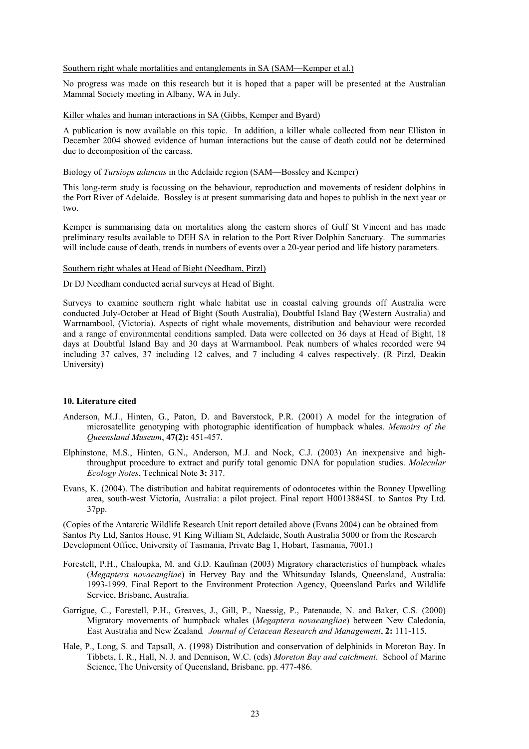#### Southern right whale mortalities and entanglements in SA (SAM—Kemper et al.)

No progress was made on this research but it is hoped that a paper will be presented at the Australian Mammal Society meeting in Albany, WA in July.

### Killer whales and human interactions in SA (Gibbs, Kemper and Byard)

A publication is now available on this topic. In addition, a killer whale collected from near Elliston in December 2004 showed evidence of human interactions but the cause of death could not be determined due to decomposition of the carcass.

#### Biology of *Tursiops aduncus* in the Adelaide region (SAM—Bossley and Kemper)

This long-term study is focussing on the behaviour, reproduction and movements of resident dolphins in the Port River of Adelaide. Bossley is at present summarising data and hopes to publish in the next year or two.

Kemper is summarising data on mortalities along the eastern shores of Gulf St Vincent and has made preliminary results available to DEH SA in relation to the Port River Dolphin Sanctuary. The summaries will include cause of death, trends in numbers of events over a 20-year period and life history parameters.

#### Southern right whales at Head of Bight (Needham, Pirzl)

Dr DJ Needham conducted aerial surveys at Head of Bight.

Surveys to examine southern right whale habitat use in coastal calving grounds off Australia were conducted July-October at Head of Bight (South Australia), Doubtful Island Bay (Western Australia) and Warrnambool, (Victoria). Aspects of right whale movements, distribution and behaviour were recorded and a range of environmental conditions sampled. Data were collected on 36 days at Head of Bight, 18 days at Doubtful Island Bay and 30 days at Warrnambool. Peak numbers of whales recorded were 94 including 37 calves, 37 including 12 calves, and 7 including 4 calves respectively. (R Pirzl, Deakin University)

#### **10. Literature cited**

- Anderson, M.J., Hinten, G., Paton, D. and Baverstock, P.R. (2001) A model for the integration of microsatellite genotyping with photographic identification of humpback whales. *Memoirs of the Queensland Museum*, **47(2):** 451-457.
- Elphinstone, M.S., Hinten, G.N., Anderson, M.J. and Nock, C.J. (2003) An inexpensive and highthroughput procedure to extract and purify total genomic DNA for population studies. *Molecular Ecology Notes*, Technical Note **3:** 317.
- Evans, K. (2004). The distribution and habitat requirements of odontocetes within the Bonney Upwelling area, south-west Victoria, Australia: a pilot project. Final report H0013884SL to Santos Pty Ltd. 37pp.

(Copies of the Antarctic Wildlife Research Unit report detailed above (Evans 2004) can be obtained from Santos Pty Ltd, Santos House, 91 King William St, Adelaide, South Australia 5000 or from the Research Development Office, University of Tasmania, Private Bag 1, Hobart, Tasmania, 7001.)

- Forestell, P.H., Chaloupka, M. and G.D. Kaufman (2003) Migratory characteristics of humpback whales (*Megaptera novaeangliae*) in Hervey Bay and the Whitsunday Islands, Queensland, Australia: 1993-1999. Final Report to the Environment Protection Agency, Queensland Parks and Wildlife Service, Brisbane, Australia.
- Garrigue, C., Forestell, P.H., Greaves, J., Gill, P., Naessig, P., Patenaude, N. and Baker, C.S. (2000) Migratory movements of humpback whales (*Megaptera novaeangliae*) between New Caledonia, East Australia and New Zealand*. Journal of Cetacean Research and Management*, **2:** 111-115.
- Hale, P., Long, S. and Tapsall, A. (1998) Distribution and conservation of delphinids in Moreton Bay. In Tibbets, I. R., Hall, N. J. and Dennison, W.C. (eds) *Moreton Bay and catchment*. School of Marine Science, The University of Queensland, Brisbane. pp. 477-486.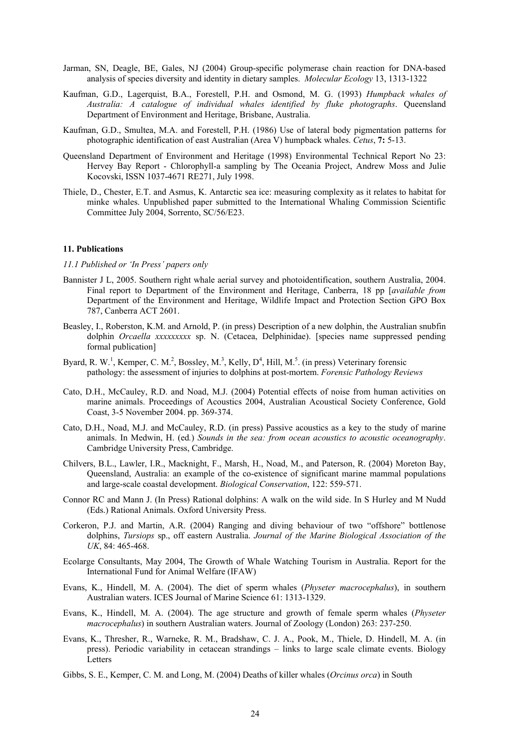- Jarman, SN, Deagle, BE, Gales, NJ (2004) Group-specific polymerase chain reaction for DNA-based analysis of species diversity and identity in dietary samples. *Molecular Ecology* 13, 1313-1322
- Kaufman, G.D., Lagerquist, B.A., Forestell, P.H. and Osmond, M. G. (1993) *Humpback whales of Australia: A catalogue of individual whales identified by fluke photographs*. Queensland Department of Environment and Heritage, Brisbane, Australia.
- Kaufman, G.D., Smultea, M.A. and Forestell, P.H. (1986) Use of lateral body pigmentation patterns for photographic identification of east Australian (Area V) humpback whales. *Cetus*, **7:** 5-13.
- Queensland Department of Environment and Heritage (1998) Environmental Technical Report No 23: Hervey Bay Report - Chlorophyll-a sampling by The Oceania Project, Andrew Moss and Julie Kocovski, ISSN 1037-4671 RE271, July 1998.
- Thiele, D., Chester, E.T. and Asmus, K. Antarctic sea ice: measuring complexity as it relates to habitat for minke whales. Unpublished paper submitted to the International Whaling Commission Scientific Committee July 2004, Sorrento, SC/56/E23.

#### **11. Publications**

#### *11.1 Published or 'In Press' papers only*

- Bannister J L, 2005. Southern right whale aerial survey and photoidentification, southern Australia, 2004. Final report to Department of the Environment and Heritage, Canberra, 18 pp [*available from* Department of the Environment and Heritage, Wildlife Impact and Protection Section GPO Box 787, Canberra ACT 2601.
- Beasley, I., Roberston, K.M. and Arnold, P. (in press) Description of a new dolphin, the Australian snubfin dolphin *Orcaella xxxxxxxxx* sp. N. (Cetacea, Delphinidae). [species name suppressed pending formal publication]
- Byard, R. W.<sup>1</sup>, Kemper, C. M.<sup>2</sup>, Bossley, M.<sup>3</sup>, Kelly, D<sup>4</sup>, Hill, M.<sup>5</sup>. (in press) Veterinary forensic pathology: the assessment of injuries to dolphins at post-mortem. *Forensic Pathology Reviews*
- Cato, D.H., McCauley, R.D. and Noad, M.J. (2004) Potential effects of noise from human activities on marine animals. Proceedings of Acoustics 2004, Australian Acoustical Society Conference, Gold Coast, 3-5 November 2004. pp. 369-374.
- Cato, D.H., Noad, M.J. and McCauley, R.D. (in press) Passive acoustics as a key to the study of marine animals. In Medwin, H. (ed*.*) *Sounds in the sea: from ocean acoustics to acoustic oceanography*. Cambridge University Press, Cambridge.
- Chilvers, B.L., Lawler, I.R., Macknight, F., Marsh, H., Noad, M., and Paterson, R. (2004) Moreton Bay, Queensland, Australia: an example of the co-existence of significant marine mammal populations and large-scale coastal development. *Biological Conservation*, 122: 559-571.
- Connor RC and Mann J. (In Press) Rational dolphins: A walk on the wild side. In S Hurley and M Nudd (Eds.) Rational Animals. Oxford University Press.
- Corkeron, P.J. and Martin, A.R. (2004) Ranging and diving behaviour of two "offshore" bottlenose dolphins, *Tursiops* sp., off eastern Australia. *Journal of the Marine Biological Association of the UK*, 84: 465-468.
- Ecolarge Consultants, May 2004, The Growth of Whale Watching Tourism in Australia. Report for the International Fund for Animal Welfare (IFAW)
- Evans, K., Hindell, M. A. (2004). The diet of sperm whales (*Physeter macrocephalus*), in southern Australian waters. ICES Journal of Marine Science 61: 1313-1329.
- Evans, K., Hindell, M. A. (2004). The age structure and growth of female sperm whales (*Physeter macrocephalus*) in southern Australian waters. Journal of Zoology (London) 263: 237-250.
- Evans, K., Thresher, R., Warneke, R. M., Bradshaw, C. J. A., Pook, M., Thiele, D. Hindell, M. A. (in press). Periodic variability in cetacean strandings – links to large scale climate events. Biology **Letters**
- Gibbs, S. E., Kemper, C. M. and Long, M. (2004) Deaths of killer whales (*Orcinus orca*) in South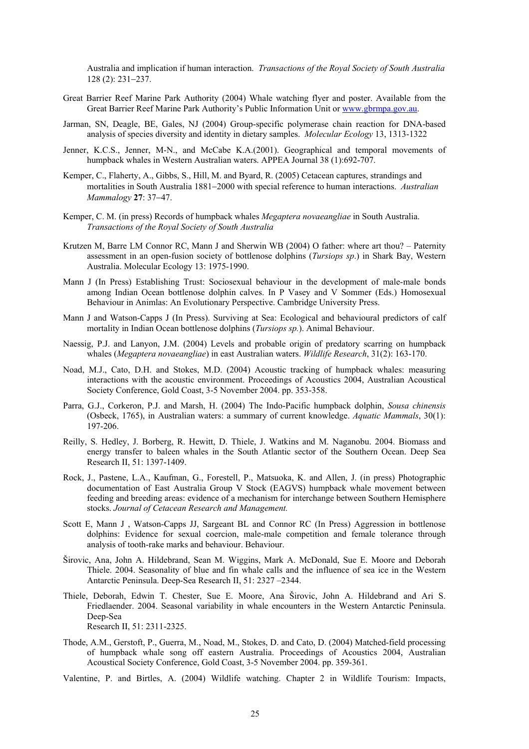Australia and implication if human interaction. *Transactions of the Royal Society of South Australia* 128 (2): 231−237.

- Great Barrier Reef Marine Park Authority (2004) Whale watching flyer and poster. Available from the Great Barrier Reef Marine Park Authority's Public Information Unit or www.gbrmpa.gov.au.
- Jarman, SN, Deagle, BE, Gales, NJ (2004) Group-specific polymerase chain reaction for DNA-based analysis of species diversity and identity in dietary samples. *Molecular Ecology* 13, 1313-1322
- Jenner, K.C.S., Jenner, M-N., and McCabe K.A.(2001). Geographical and temporal movements of humpback whales in Western Australian waters. APPEA Journal 38 (1):692-707.
- Kemper, C., Flaherty, A., Gibbs, S., Hill, M. and Byard, R. (2005) Cetacean captures, strandings and mortalities in South Australia 1881−2000 with special reference to human interactions. *Australian Mammalogy* **27**: 37−47.
- Kemper, C. M. (in press) Records of humpback whales *Megaptera novaeangliae* in South Australia. *Transactions of the Royal Society of South Australia*
- Krutzen M, Barre LM Connor RC, Mann J and Sherwin WB (2004) O father: where art thou? Paternity assessment in an open-fusion society of bottlenose dolphins (*Tursiops sp*.) in Shark Bay, Western Australia. Molecular Ecology 13: 1975-1990.
- Mann J (In Press) Establishing Trust: Sociosexual behaviour in the development of male-male bonds among Indian Ocean bottlenose dolphin calves. In P Vasey and V Sommer (Eds.) Homosexual Behaviour in Animlas: An Evolutionary Perspective. Cambridge University Press.
- Mann J and Watson-Capps J (In Press). Surviving at Sea: Ecological and behavioural predictors of calf mortality in Indian Ocean bottlenose dolphins (*Tursiops sp.*). Animal Behaviour.
- Naessig, P.J. and Lanyon, J.M. (2004) Levels and probable origin of predatory scarring on humpback whales (*Megaptera novaeangliae*) in east Australian waters. *Wildlife Research*, 31(2): 163-170.
- Noad, M.J., Cato, D.H. and Stokes, M.D. (2004) Acoustic tracking of humpback whales: measuring interactions with the acoustic environment. Proceedings of Acoustics 2004, Australian Acoustical Society Conference, Gold Coast, 3-5 November 2004. pp. 353-358.
- Parra, G.J., Corkeron, P.J. and Marsh, H. (2004) The Indo-Pacific humpback dolphin, *Sousa chinensis* (Osbeck, 1765), in Australian waters: a summary of current knowledge. *Aquatic Mammals*, 30(1): 197-206.
- Reilly, S. Hedley, J. Borberg, R. Hewitt, D. Thiele, J. Watkins and M. Naganobu. 2004. Biomass and energy transfer to baleen whales in the South Atlantic sector of the Southern Ocean. Deep Sea Research II, 51: 1397-1409.
- Rock, J., Pastene, L.A., Kaufman, G., Forestell, P., Matsuoka, K. and Allen, J. (in press) Photographic documentation of East Australia Group V Stock (EAGVS) humpback whale movement between feeding and breeding areas: evidence of a mechanism for interchange between Southern Hemisphere stocks. *Journal of Cetacean Research and Management.*
- Scott E, Mann J , Watson-Capps JJ, Sargeant BL and Connor RC (In Press) Aggression in bottlenose dolphins: Evidence for sexual coercion, male-male competition and female tolerance through analysis of tooth-rake marks and behaviour. Behaviour.
- Širovic, Ana, John A. Hildebrand, Sean M. Wiggins, Mark A. McDonald, Sue E. Moore and Deborah Thiele. 2004. Seasonality of blue and fin whale calls and the influence of sea ice in the Western Antarctic Peninsula. Deep-Sea Research II, 51: 2327 –2344.
- Thiele, Deborah, Edwin T. Chester, Sue E. Moore, Ana Širovic, John A. Hildebrand and Ari S. Friedlaender. 2004. Seasonal variability in whale encounters in the Western Antarctic Peninsula. Deep-Sea Research II, 51: 2311-2325.
- Thode, A.M., Gerstoft, P., Guerra, M., Noad, M., Stokes, D. and Cato, D. (2004) Matched-field processing of humpback whale song off eastern Australia. Proceedings of Acoustics 2004, Australian Acoustical Society Conference, Gold Coast, 3-5 November 2004. pp. 359-361.
- Valentine, P. and Birtles, A. (2004) Wildlife watching. Chapter 2 in Wildlife Tourism: Impacts,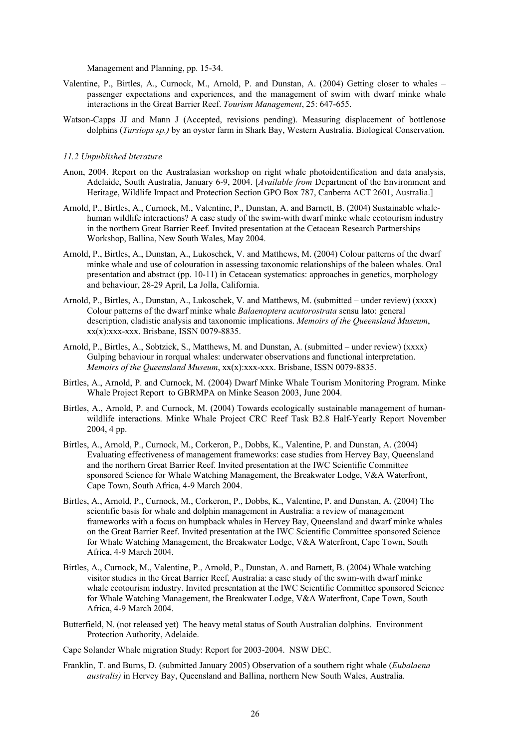Management and Planning, pp. 15-34.

- Valentine, P., Birtles, A., Curnock, M., Arnold, P. and Dunstan, A. (2004) Getting closer to whales passenger expectations and experiences, and the management of swim with dwarf minke whale interactions in the Great Barrier Reef. *Tourism Management*, 25: 647-655.
- Watson-Capps JJ and Mann J (Accepted, revisions pending). Measuring displacement of bottlenose dolphins (*Tursiops sp.)* by an oyster farm in Shark Bay, Western Australia. Biological Conservation.

#### *11.2 Unpublished literature*

- Anon, 2004. Report on the Australasian workshop on right whale photoidentification and data analysis, Adelaide, South Australia, January 6-9, 2004. [*Available from* Department of the Environment and Heritage, Wildlife Impact and Protection Section GPO Box 787, Canberra ACT 2601, Australia.]
- Arnold, P., Birtles, A., Curnock, M., Valentine, P., Dunstan, A. and Barnett, B. (2004) Sustainable whalehuman wildlife interactions? A case study of the swim-with dwarf minke whale ecotourism industry in the northern Great Barrier Reef. Invited presentation at the Cetacean Research Partnerships Workshop, Ballina, New South Wales, May 2004.
- Arnold, P., Birtles, A., Dunstan, A., Lukoschek, V. and Matthews, M. (2004) Colour patterns of the dwarf minke whale and use of colouration in assessing taxonomic relationships of the baleen whales. Oral presentation and abstract (pp. 10-11) in Cetacean systematics: approaches in genetics, morphology and behaviour, 28-29 April, La Jolla, California.
- Arnold, P., Birtles, A., Dunstan, A., Lukoschek, V. and Matthews, M. (submitted under review) (xxxx) Colour patterns of the dwarf minke whale *Balaenoptera acutorostrata* sensu lato: general description, cladistic analysis and taxonomic implications. *Memoirs of the Queensland Museum*, xx(x):xxx-xxx. Brisbane, ISSN 0079-8835.
- Arnold, P., Birtles, A., Sobtzick, S., Matthews, M. and Dunstan, A. (submitted under review) (xxxx) Gulping behaviour in rorqual whales: underwater observations and functional interpretation. *Memoirs of the Queensland Museum*, xx(x):xxx-xxx. Brisbane, ISSN 0079-8835.
- Birtles, A., Arnold, P. and Curnock, M. (2004) Dwarf Minke Whale Tourism Monitoring Program. Minke Whale Project Report to GBRMPA on Minke Season 2003, June 2004.
- Birtles, A., Arnold, P. and Curnock, M. (2004) Towards ecologically sustainable management of humanwildlife interactions. Minke Whale Project CRC Reef Task B2.8 Half-Yearly Report November 2004, 4 pp.
- Birtles, A., Arnold, P., Curnock, M., Corkeron, P., Dobbs, K., Valentine, P. and Dunstan, A. (2004) Evaluating effectiveness of management frameworks: case studies from Hervey Bay, Queensland and the northern Great Barrier Reef. Invited presentation at the IWC Scientific Committee sponsored Science for Whale Watching Management, the Breakwater Lodge, V&A Waterfront, Cape Town, South Africa, 4-9 March 2004.
- Birtles, A., Arnold, P., Curnock, M., Corkeron, P., Dobbs, K., Valentine, P. and Dunstan, A. (2004) The scientific basis for whale and dolphin management in Australia: a review of management frameworks with a focus on humpback whales in Hervey Bay, Queensland and dwarf minke whales on the Great Barrier Reef. Invited presentation at the IWC Scientific Committee sponsored Science for Whale Watching Management, the Breakwater Lodge, V&A Waterfront, Cape Town, South Africa, 4-9 March 2004.
- Birtles, A., Curnock, M., Valentine, P., Arnold, P., Dunstan, A. and Barnett, B. (2004) Whale watching visitor studies in the Great Barrier Reef, Australia: a case study of the swim-with dwarf minke whale ecotourism industry. Invited presentation at the IWC Scientific Committee sponsored Science for Whale Watching Management, the Breakwater Lodge, V&A Waterfront, Cape Town, South Africa, 4-9 March 2004.
- Butterfield, N. (not released yet) The heavy metal status of South Australian dolphins. Environment Protection Authority, Adelaide.
- Cape Solander Whale migration Study: Report for 2003-2004. NSW DEC.
- Franklin, T. and Burns, D. (submitted January 2005) Observation of a southern right whale (*Eubalaena australis)* in Hervey Bay, Queensland and Ballina, northern New South Wales, Australia.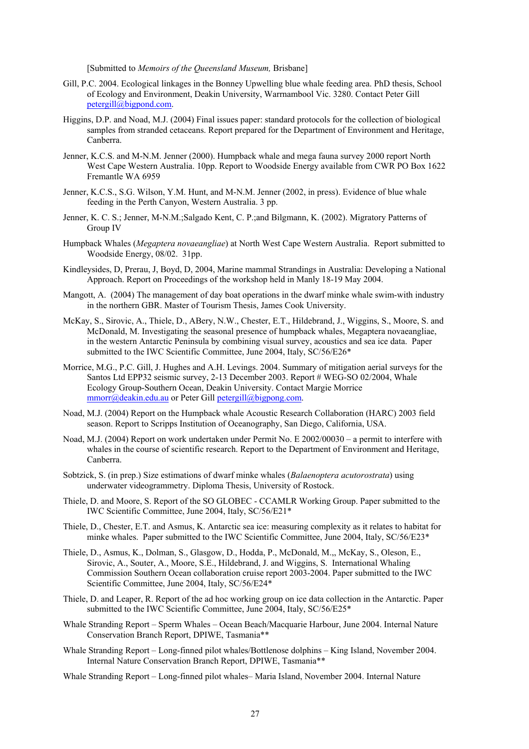[Submitted to *Memoirs of the Queensland Museum,* Brisbane]

- Gill, P.C. 2004. Ecological linkages in the Bonney Upwelling blue whale feeding area. PhD thesis, School of Ecology and Environment, Deakin University, Warrnambool Vic. 3280. Contact Peter Gill petergill@bigpond.com.
- Higgins, D.P. and Noad, M.J. (2004) Final issues paper: standard protocols for the collection of biological samples from stranded cetaceans. Report prepared for the Department of Environment and Heritage, Canberra.
- Jenner, K.C.S. and M-N.M. Jenner (2000). Humpback whale and mega fauna survey 2000 report North West Cape Western Australia. 10pp. Report to Woodside Energy available from CWR PO Box 1622 Fremantle WA 6959
- Jenner, K.C.S., S.G. Wilson, Y.M. Hunt, and M-N.M. Jenner (2002, in press). Evidence of blue whale feeding in the Perth Canyon, Western Australia. 3 pp.
- Jenner, K. C. S.; Jenner, M-N.M.;Salgado Kent, C. P.;and Bilgmann, K. (2002). Migratory Patterns of Group IV
- Humpback Whales (*Megaptera novaeangliae*) at North West Cape Western Australia. Report submitted to Woodside Energy, 08/02. 31pp.
- Kindleysides, D, Prerau, J, Boyd, D, 2004, Marine mammal Strandings in Australia: Developing a National Approach. Report on Proceedings of the workshop held in Manly 18-19 May 2004.
- Mangott, A. (2004) The management of day boat operations in the dwarf minke whale swim-with industry in the northern GBR. Master of Tourism Thesis, James Cook University.
- McKay, S., Sirovic, A., Thiele, D., ABery, N.W., Chester, E.T., Hildebrand, J., Wiggins, S., Moore, S. and McDonald, M. Investigating the seasonal presence of humpback whales, Megaptera novaeangliae, in the western Antarctic Peninsula by combining visual survey, acoustics and sea ice data. Paper submitted to the IWC Scientific Committee, June 2004, Italy, SC/56/E26\*
- Morrice, M.G., P.C. Gill, J. Hughes and A.H. Levings. 2004. Summary of mitigation aerial surveys for the Santos Ltd EPP32 seismic survey, 2-13 December 2003. Report # WEG-SO 02/2004, Whale Ecology Group-Southern Ocean, Deakin University. Contact Margie Morrice mmorr@deakin.edu.au or Peter Gill petergill@bigpong.com.
- Noad, M.J. (2004) Report on the Humpback whale Acoustic Research Collaboration (HARC) 2003 field season. Report to Scripps Institution of Oceanography, San Diego, California, USA.
- Noad, M.J. (2004) Report on work undertaken under Permit No. E 2002/00030 a permit to interfere with whales in the course of scientific research. Report to the Department of Environment and Heritage, Canberra.
- Sobtzick, S. (in prep.) Size estimations of dwarf minke whales (*Balaenoptera acutorostrata*) using underwater videogrammetry. Diploma Thesis, University of Rostock.
- Thiele, D. and Moore, S. Report of the SO GLOBEC CCAMLR Working Group. Paper submitted to the IWC Scientific Committee, June 2004, Italy, SC/56/E21\*
- Thiele, D., Chester, E.T. and Asmus, K. Antarctic sea ice: measuring complexity as it relates to habitat for minke whales. Paper submitted to the IWC Scientific Committee, June 2004, Italy, SC/56/E23<sup>\*</sup>
- Thiele, D., Asmus, K., Dolman, S., Glasgow, D., Hodda, P., McDonald, M.,, McKay, S., Oleson, E., Sirovic, A., Souter, A., Moore, S.E., Hildebrand, J. and Wiggins, S. International Whaling Commission Southern Ocean collaboration cruise report 2003-2004. Paper submitted to the IWC Scientific Committee, June 2004, Italy, SC/56/E24\*
- Thiele, D. and Leaper, R. Report of the ad hoc working group on ice data collection in the Antarctic. Paper submitted to the IWC Scientific Committee, June 2004, Italy, SC/56/E25\*
- Whale Stranding Report Sperm Whales Ocean Beach/Macquarie Harbour, June 2004. Internal Nature Conservation Branch Report, DPIWE, Tasmania\*\*
- Whale Stranding Report Long-finned pilot whales/Bottlenose dolphins King Island, November 2004. Internal Nature Conservation Branch Report, DPIWE, Tasmania\*\*
- Whale Stranding Report Long-finned pilot whales– Maria Island, November 2004. Internal Nature